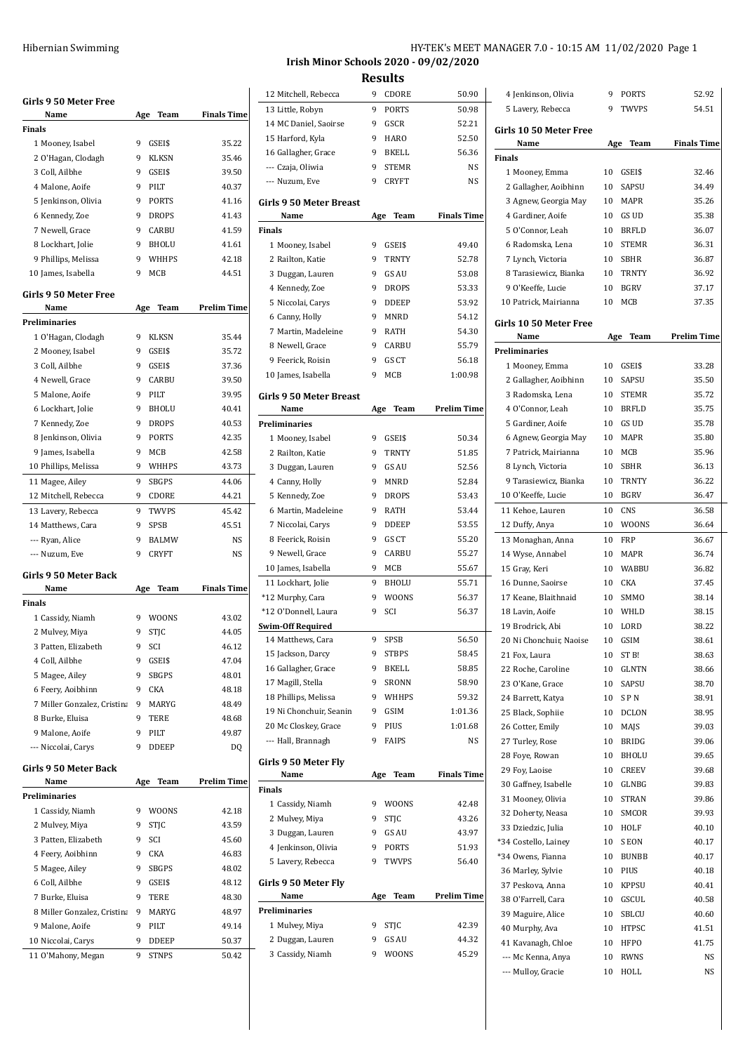|                                              | HY-TEK's MEET MANAGER 7.0 - 10:15 AM 11/02/2020 Page 1 |  |  |
|----------------------------------------------|--------------------------------------------------------|--|--|
| <b>Irish Minor Schools 2020 - 09/02/2020</b> |                                                        |  |  |

| Girls 9 50 Meter Free                    |     |                |                    |
|------------------------------------------|-----|----------------|--------------------|
| Name<br>Finals                           |     | Age Team       | <b>Finals Time</b> |
|                                          |     |                |                    |
| 1 Mooney, Isabel                         | 9   | GSEI\$         | 35.22              |
| 2 O'Hagan, Clodagh                       | 9   | <b>KLKSN</b>   | 35.46              |
| 3 Coll, Ailbhe                           | 9   | GSEI\$         | 39.50              |
| 4 Malone, Aoife                          | 9   | PILT           | 40.37              |
| 5 Jenkinson, Olivia                      | 9   | PORTS          | 41.16              |
| 6 Kennedy, Zoe                           | 9   | <b>DROPS</b>   | 41.43              |
| 7 Newell, Grace                          | 9   | CARBU          | 41.59              |
| 8 Lockhart, Jolie                        | 9   | BHOLU          | 41.61              |
| 9 Phillips, Melissa                      | 9   | WHHPS          | 42.18              |
| 10 James, Isabella                       | 9   | MCB            | 44.51              |
| <b>Girls 9 50 Meter Free</b>             |     |                |                    |
| Name                                     | Age | Team           | <b>Prelim Time</b> |
| Preliminaries                            |     |                |                    |
|                                          | 9   |                | 35.44              |
| 1 O'Hagan, Clodagh                       |     | KLKSN          |                    |
| 2 Mooney, Isabel                         | 9   | GSEI\$         | 35.72              |
| 3 Coll, Ailbhe                           | 9   | GSEI\$         | 37.36              |
| 4 Newell, Grace                          | 9   | CARBU          | 39.50              |
| 5 Malone, Aoife                          | 9   | PILT           | 39.95              |
| 6 Lockhart, Jolie                        | 9   | <b>BHOLU</b>   | 40.41              |
| 7 Kennedy, Zoe                           | 9   | <b>DROPS</b>   | 40.53              |
| 8 Jenkinson, Olivia                      | 9   | PORTS          | 42.35              |
| 9 James, Isabella                        | 9   | MCB            | 42.58              |
| 10 Phillips, Melissa                     | 9   | WHHPS          | 43.73              |
| 11 Magee, Ailey                          | 9   | <b>SBGPS</b>   | 44.06              |
| 12 Mitchell, Rebecca                     | 9   | CDORE          | 44.21              |
| 13 Lavery, Rebecca                       | 9   | TWVPS          | 45.42              |
| 14 Matthews, Cara                        | 9   | <b>SPSB</b>    | 45.51              |
|                                          |     |                |                    |
|                                          |     |                |                    |
| --- Ryan, Alice                          | 9   | <b>BALMW</b>   | NS                 |
| --- Nuzum, Eve                           | 9   | <b>CRYFT</b>   | NS                 |
| Girls 9 50 Meter Back                    |     |                |                    |
| Name                                     | Age | Team           | Finals Time        |
| Finals                                   |     |                |                    |
| 1 Cassidy, Niamh                         | 9   | <b>WOONS</b>   | 43.02              |
| 2 Mulvey, Miya                           | 9   | <b>STIC</b>    | 44.05              |
| 3 Patten, Elizabeth                      | 9   | SCI            | 46.12              |
| 4 Coll, Ailbhe                           | 9   | GSEI\$         | 47.04              |
| 5 Magee, Ailey                           | 9   | <b>SBGPS</b>   | 48.01              |
| 6 Feery, Aoibhinn                        | 9   | CKA            | 48.18              |
| 7 Miller Gonzalez, Cristina              | 9   | MARYG          | 48.49              |
| 8 Burke, Eluisa                          | 9   | TERE           | 48.68              |
| 9 Malone, Aoife                          | 9   | PILT           | 49.87              |
| --- Niccolai, Carys                      | 9   | <b>DDEEP</b>   | DQ                 |
|                                          |     |                |                    |
| Girls 9 50 Meter Back                    |     |                |                    |
| Name                                     | Age | Team           | <b>Prelim Time</b> |
| Preliminaries                            |     |                |                    |
| 1 Cassidy, Niamh                         | 9   | <b>WOONS</b>   | 42.18              |
| 2 Mulvey, Miya                           | 9   | STJC           | 43.59              |
| 3 Patten, Elizabeth                      | 9   | SCI            | 45.60              |
| 4 Feery, Aoibhinn                        | 9   | CKA            | 46.83              |
| 5 Magee, Ailey                           | 9   | SBGPS          | 48.02              |
| 6 Coll, Ailbhe                           | 9   | GSEI\$         | 48.12              |
| 7 Burke, Eluisa                          | 9   | TERE           | 48.30              |
| 8 Miller Gonzalez, Cristina              | 9   | MARYG          | 48.97              |
| 9 Malone, Aoife                          | 9   | PILT           | 49.14              |
|                                          | 9   |                | 50.37              |
| 10 Niccolai, Carys<br>11 O'Mahony, Megan | 9   | DDEEP<br>STNPS | 50.42              |

| 12 Mitchell, Rebecca                 | 9   | CDORE                 | 50.90              |
|--------------------------------------|-----|-----------------------|--------------------|
| 13 Little, Robyn                     | 9   | PORTS                 | 50.98              |
| 14 MC Daniel, Saoirse                | 9   | GSCR                  | 52.21              |
| 15 Harford, Kyla                     | 9   | HARO                  | 52.50              |
| 16 Gallagher, Grace                  | 9   | BKELL                 | 56.36              |
| --- Czaja, Oliwia                    | 9   | <b>STEMR</b>          | NS                 |
| --- Nuzum, Eve                       | 9   | <b>CRYFT</b>          | NS                 |
|                                      |     |                       |                    |
| <b>Girls 9 50 Meter Breast</b>       |     |                       |                    |
| Name                                 | Age | Team                  | <b>Finals Time</b> |
| Finals                               |     |                       |                    |
| 1 Mooney, Isabel                     | 9   | GSEI\$                | 49.40              |
| 2 Railton, Katie                     | 9   | <b>TRNTY</b>          | 52.78              |
| 3 Duggan, Lauren                     | 9   | GS AU                 | 53.08              |
| 4 Kennedy, Zoe                       | 9   | <b>DROPS</b>          | 53.33              |
| 5 Niccolai, Carys                    | 9   | <b>DDEEP</b>          | 53.92              |
| 6 Canny, Holly                       | 9   | MNRD                  | 54.12              |
| 7 Martin, Madeleine                  | 9   | RATH                  | 54.30              |
| 8 Newell, Grace                      | 9   | CARBU                 | 55.79              |
| 9 Feerick, Roisin                    | 9   | GS CT                 | 56.18              |
| 10 James, Isabella                   | 9   | MCB                   | 1:00.98            |
| <b>Girls 9 50 Meter Breast</b>       |     |                       |                    |
| Name                                 | Age | Team                  | <b>Prelim Time</b> |
| <b>Preliminaries</b>                 |     |                       |                    |
| 1 Mooney, Isabel                     | 9   | GSEI\$                | 50.34              |
| 2 Railton, Katie                     | 9   | <b>TRNTY</b>          | 51.85              |
| 3 Duggan, Lauren                     | 9   | GS AU                 | 52.56              |
| 4 Canny, Holly                       | 9   | MNRD                  | 52.84              |
| 5 Kennedy, Zoe                       | 9   | <b>DROPS</b>          | 53.43              |
| 6 Martin, Madeleine                  | 9   | RATH                  | 53.44              |
| 7 Niccolai, Carys                    | 9   | DDEEP                 | 53.55              |
| 8 Feerick, Roisin                    | 9   | GS CT                 | 55.20              |
| 9 Newell, Grace                      | 9   | CARBU                 | 55.27              |
| 10 James, Isabella                   | 9   | MCB                   | 55.67              |
| 11 Lockhart, Jolie                   | 9   | <b>BHOLU</b>          | 55.71              |
| *12 Murphy, Cara                     | 9   | <b>WOONS</b>          | 56.37              |
| *12 O'Donnell, Laura                 | 9   | SCI                   | 56.37              |
| <b>Swim-Off Required</b>             |     |                       |                    |
| 14 Matthews, Cara                    | 9   | SPSB                  | 56.50              |
| 15 Jackson, Darcy                    | 9   | STBPS                 | 58.45              |
| 16 Gallagher, Grace                  | 9   | BKELL                 | 58.85              |
| 17 Magill, Stella                    | 9   | SRONN                 | 58.90              |
| 18 Phillips, Melissa                 | 9   | WHHPS                 | 59.32              |
| 19 Ni Chonchuir, Seanin              | 9   | GSIM                  | 1:01.36            |
| 20 Mc Closkey, Grace                 | 9   | PIUS                  | 1:01.68            |
| --- Hall, Brannagh                   | 9   | <b>FAIPS</b>          | NS.                |
|                                      |     |                       |                    |
| Girls 9 50 Meter Fly                 |     |                       |                    |
| Name                                 | Age | Team                  | <b>Finals Time</b> |
| Finals                               |     |                       |                    |
| 1 Cassidy, Niamh                     | 9   | <b>WOONS</b>          | 42.48              |
| 2 Mulvey, Miya                       | 9   | <b>STJC</b>           | 43.26              |
| 3 Duggan, Lauren                     | 9   | GS AU                 | 43.97              |
| 4 Jenkinson, Olivia                  | 9   | PORTS                 | 51.93              |
| 5 Lavery, Rebecca                    | 9   | TWVPS                 | 56.40              |
| Girls 9 50 Meter Fly                 |     |                       |                    |
|                                      |     |                       |                    |
| Name                                 | Age | Team                  | <b>Prelim Time</b> |
| Preliminaries                        |     |                       |                    |
| 1 Mulvey, Miya                       | 9   | STJC                  | 42.39              |
|                                      | 9   |                       | 44.32              |
| 2 Duggan, Lauren<br>3 Cassidy, Niamh | 9   | GS AU<br><b>WOONS</b> | 45.29              |

| 4 Jenkinson, Olivia     | 9   | PORTS        | 52.92              |
|-------------------------|-----|--------------|--------------------|
| 5 Lavery, Rebecca       | 9   | TWVPS        | 54.51              |
|                         |     |              |                    |
| Girls 10 50 Meter Free  |     |              |                    |
| Name                    | Age | Team         | <b>Finals Time</b> |
| <b>Finals</b>           |     |              |                    |
| 1 Mooney, Emma          | 10  | GSEI\$       | 32.46              |
| 2 Gallagher, Aoibhinn   | 10  | SAPSU        | 34.49              |
| 3 Agnew, Georgia May    | 10  | MAPR         | 35.26              |
| 4 Gardiner, Aoife       | 10  | GS UD        | 35.38              |
| 5 O'Connor, Leah        | 10  | <b>BRFLD</b> | 36.07              |
| 6 Radomska, Lena        | 10  | <b>STEMR</b> | 36.31              |
| 7 Lynch, Victoria       | 10  | <b>SBHR</b>  | 36.87              |
| 8 Tarasiewicz, Bianka   | 10  | <b>TRNTY</b> | 36.92              |
| 9 O'Keeffe, Lucie       | 10  | <b>BGRV</b>  | 37.17              |
| 10 Patrick, Mairianna   | 10  | MCB          | 37.35              |
|                         |     |              |                    |
| Girls 10 50 Meter Free  |     |              |                    |
| Name                    | Age | Team         | <b>Prelim Time</b> |
| Preliminaries           |     |              |                    |
| 1 Mooney, Emma          | 10  | GSEI\$       | 33.28              |
| 2 Gallagher, Aoibhinn   | 10  | <b>SAPSU</b> | 35.50              |
| 3 Radomska, Lena        | 10  | <b>STEMR</b> | 35.72              |
| 4 O'Connor. Leah        | 10  | BRFLD        | 35.75              |
| 5 Gardiner, Aoife       |     | 10 GS UD     | 35.78              |
| 6 Agnew, Georgia May    | 10  | MAPR         | 35.80              |
| 7 Patrick, Mairianna    | 10  | MCB          | 35.96              |
| 8 Lynch, Victoria       | 10  | SBHR         | 36.13              |
| 9 Tarasiewicz, Bianka   | 10  | <b>TRNTY</b> | 36.22              |
| 10 O'Keeffe, Lucie      | 10  | <b>BGRV</b>  | 36.47              |
| 11 Kehoe, Lauren        | 10  | CNS          | 36.58              |
| 12 Duffy, Anya          | 10  | <b>WOONS</b> | 36.64              |
| 13 Monaghan, Anna       | 10  | FRP          | 36.67              |
| 14 Wyse, Annabel        | 10  | MAPR         | 36.74              |
| 15 Gray, Keri           | 10  | WABBU        | 36.82              |
| 16 Dunne, Saoirse       | 10  | CKA          | 37.45              |
| 17 Keane, Blaithnaid    | 10  | <b>SMMO</b>  | 38.14              |
| 18 Lavin, Aoife         | 10  | WHLD         | 38.15              |
| 19 Brodrick, Abi        | 10  | LORD         | 38.22              |
| 20 Ni Chonchuir, Naoise | 10  | GSIM         | 38.61              |
| 21 Fox, Laura           | 10  | ST B!        | 38.63              |
| 22 Roche, Caroline      | 10  | <b>GLNTN</b> | 38.66              |
| 23 O'Kane, Grace        | 10  | SAPSU        | 38.70              |
| 24 Barrett, Katya       | 10  | SPN          | 38.91              |
| 25 Black, Sophiie       | 10  | DCLON        | 38.95              |
| 26 Cotter, Emily        | 10  | MAJS         | 39.03              |
| 27 Turley, Rose         | 10  | BRIDG        | 39.06              |
| 28 Foye, Rowan          | 10  | BHOLU        | 39.65              |
| 29 Foy, Laoise          | 10  | CREEV        | 39.68              |
| 30 Gaffney, Isabelle    | 10  | GLNBG        | 39.83              |
| 31 Mooney, Olivia       | 10  | STRAN        | 39.86              |
| 32 Doherty, Neasa       | 10  | SMCOR        | 39.93              |
| 33 Dziedzic, Julia      | 10  | HOLF         | 40.10              |
| *34 Costello, Lainey    | 10  | S EON        | 40.17              |
| *34 Owens, Fianna       | 10  | <b>BUNBB</b> | 40.17              |
|                         |     |              |                    |
| 36 Marley, Sylvie       | 10  | PIUS         | 40.18              |
| 37 Peskova, Anna        | 10  | KPPSU        | 40.41              |
| 38 O'Farrell, Cara      | 10  | GSCUL        | 40.58              |
| 39 Maguire, Alice       | 10  | SBLCU        | 40.60              |
| 40 Murphy, Ava          | 10  | HTPSC        | 41.51              |
| 41 Kavanagh, Chloe      | 10  | HFPO         | 41.75              |
| --- Mc Kenna, Anya      | 10  | RWNS         | NS                 |
| --- Mulloy, Gracie      | 10  | HOLL         | NS                 |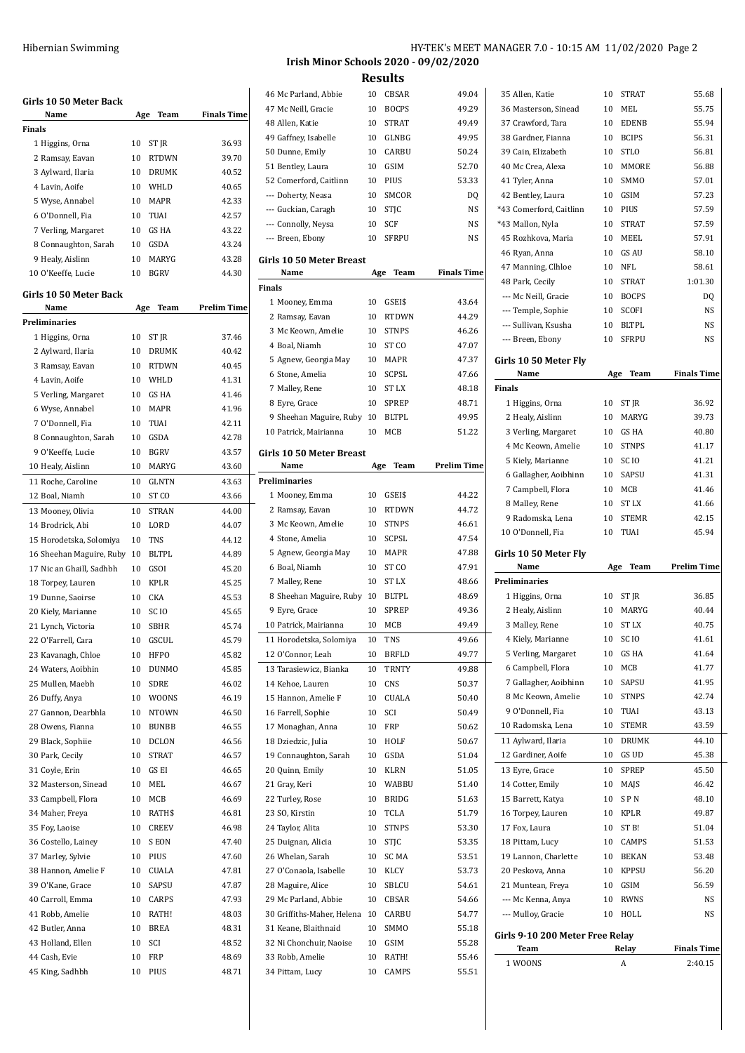| Girls 10 50 Meter Back    |     |                  |                    |
|---------------------------|-----|------------------|--------------------|
| Name                      | Age | Team             | Finals Time        |
| Finals<br>1 Higgins, Orna | 10  | ST JR            | 36.93              |
| 2 Ramsay, Eavan           | 10  | <b>RTDWN</b>     | 39.70              |
| 3 Aylward, Ilaria         | 10  | <b>DRUMK</b>     | 40.52              |
| 4 Lavin, Aoife            | 10  | WHLD             | 40.65              |
| 5 Wyse, Annabel           | 10  | MAPR             | 42.33              |
| 6 O'Donnell, Fia          | 10  | TUAI             | 42.57              |
| 7 Verling, Margaret       | 10  | GS HA            | 43.22              |
| 8 Connaughton, Sarah      | 10  | GSDA             | 43.24              |
| 9 Healy, Aislinn          | 10  | MARYG            | 43.28              |
| 10 O'Keeffe, Lucie        | 10  | <b>BGRV</b>      | 44.30              |
| Girls 10 50 Meter Back    |     |                  |                    |
| Name                      | Age | Team             | <b>Prelim Time</b> |
| Preliminaries             |     |                  |                    |
| 1 Higgins, Orna           | 10  | ST JR            | 37.46              |
| 2 Aylward, Ilaria         | 10  | <b>DRUMK</b>     | 40.42              |
| 3 Ramsay, Eavan           | 10  | <b>RTDWN</b>     | 40.45              |
| 4 Lavin, Aoife            | 10  | WHI.D            | 41.31              |
| 5 Verling, Margaret       | 10  | GS HA            | 41.46              |
| 6 Wyse, Annabel           | 10  | <b>MAPR</b>      | 41.96              |
| 7 O'Donnell, Fia          | 10  | TUAI             | 42.11              |
| 8 Connaughton, Sarah      | 10  | <b>GSDA</b>      | 42.78              |
| 9 O'Keeffe, Lucie         | 10  | <b>BGRV</b>      | 43.57              |
| 10 Healy, Aislinn         | 10  | MARYG            | 43.60              |
| 11 Roche, Caroline        | 10  | GLNTN            | 43.63              |
| 12 Boal, Niamh            | 10  | ST CO            | 43.66              |
| 13 Mooney, Olivia         | 10  | <b>STRAN</b>     | 44.00              |
| 14 Brodrick, Abi          | 10  | LORD             | 44.07              |
| 15 Horodetska, Solomiya   | 10  | <b>TNS</b>       | 44.12              |
| 16 Sheehan Maguire, Ruby  | 10  | <b>BLTPL</b>     | 44.89              |
| 17 Nic an Ghaill, Sadhbh  | 10  | GSOI             | 45.20              |
| 18 Torpey, Lauren         | 10  | <b>KPLR</b>      | 45.25              |
| 19 Dunne, Saoirse         | 10  | CKA              | 45.53              |
| 20 Kiely, Marianne        | 10  | SC <sub>IO</sub> | 45.65              |
| 21 Lynch, Victoria        | 10  | <b>SBHR</b>      | 45.74              |
| 22 O'Farrell, Cara        | 10  | GSCUL            | 45.79              |
| 23 Kavanagh, Chloe        | 10  | HFPO             | 45.82              |
| 24 Waters, Aoibhin        | 10  | <b>DUNMO</b>     | 45.85              |
| 25 Mullen, Maebh          | 10  | SDRE             | 46.02              |
| 26 Duffy, Anya            | 10  | <b>WOONS</b>     | 46.19              |
| 27 Gannon, Dearbhla       | 10  | <b>NTOWN</b>     | 46.50              |
| 28 Owens, Fianna          | 10  | <b>BUNBB</b>     | 46.55              |
| 29 Black, Sophiie         | 10  | DCLON            | 46.56              |
| 30 Park, Cecily           | 10  | <b>STRAT</b>     | 46.57              |
| 31 Coyle, Erin            | 10  | GS EI            | 46.65              |
| 32 Masterson, Sinead      | 10  | MEL              | 46.67              |
| 33 Campbell, Flora        | 10  | MCB              | 46.69              |
| 34 Maher, Freya           | 10  | RATH\$           | 46.81              |
| 35 Foy, Laoise            | 10  | CREEV            | 46.98              |
| 36 Costello, Lainey       | 10  | S EON            | 47.40              |
| 37 Marley, Sylvie         | 10  | PIUS             | 47.60              |
| 38 Hannon, Amelie F       | 10  | CUALA            | 47.81              |
| 39 O'Kane, Grace          | 10  | SAPSU            | 47.87              |
| 40 Carroll, Emma          | 10  | CARPS            | 47.93              |
| 41 Robb, Amelie           | 10  | RATH!            | 48.03              |
| 42 Butler, Anna           | 10  | <b>BREA</b>      | 48.31              |
| 43 Holland, Ellen         | 10  | SCI              | 48.52              |
| 44 Cash, Evie             | 10  | FRP              | 48.69              |
| 45 King, Sadhbh           | 10  | PIUS             | 48.71              |
|                           |     |                  |                    |

### HY-TEK's MEET MANAGER 7.0 - 10:15 AM 11/02/2020 Page 2 **Irish Minor Schools 2020 - 09/02/2020**

**Results**

| 46 Mc Parland, Abbie               | 10       | CBSAR            | 49.04              |
|------------------------------------|----------|------------------|--------------------|
| 47 Mc Neill, Gracie                | 10       | <b>BOCPS</b>     | 49.29              |
| 48 Allen, Katie                    | 10       | <b>STRAT</b>     | 49.49              |
| 49 Gaffney, Isabelle               | 10       | GLNBG            | 49.95              |
| 50 Dunne, Emily                    | 10       | CARBU            | 50.24              |
| 51 Bentley, Laura                  | 10       | GSIM             | 52.70              |
| 52 Comerford, Caitlinn             | 10       | PIUS             | 53.33              |
| --- Doherty, Neasa                 | 10       | SMCOR            | DQ                 |
| --- Guckian, Caragh                | 10       | <b>STJC</b>      | NS                 |
| --- Connolly, Neysa                | 10       | SCF              | NS                 |
| --- Breen, Ebony                   | 10       | <b>SFRPU</b>     | NS                 |
|                                    |          |                  |                    |
| <b>Girls 10 50 Meter Breast</b>    |          |                  |                    |
| Name                               | Age      | Team             | <b>Finals Time</b> |
| Finals                             |          |                  |                    |
| 1 Mooney, Emma                     | 10       | GSEI\$           | 43.64              |
| 2 Ramsay, Eavan                    | 10       | <b>RTDWN</b>     | 44.29              |
| 3 Mc Keown, Amelie                 | 10       | <b>STNPS</b>     | 46.26              |
| 4 Boal, Niamh                      | 10       | ST CO            | 47.07              |
| 5 Agnew, Georgia May               | 10       | MAPR             | 47.37              |
| 6 Stone, Amelia                    | 10       | <b>SCPSL</b>     | 47.66              |
|                                    | 10       | ST LX            | 48.18              |
| 7 Malley, Rene                     |          |                  |                    |
| 8 Eyre, Grace                      | 10       | <b>SPREP</b>     | 48.71              |
| 9 Sheehan Maguire, Ruby 10         |          | <b>BLTPL</b>     | 49.95              |
| 10 Patrick, Mairianna              | 10       | MCB              | 51.22              |
| <b>Girls 10 50 Meter Breast</b>    |          |                  |                    |
| Name                               | Age      | Team             | <b>Prelim Time</b> |
| <b>Preliminaries</b>               |          |                  |                    |
| 1 Mooney, Emma                     | 10       | GSEI\$           | 44.22              |
| 2 Ramsay, Eavan                    | 10       | <b>RTDWN</b>     | 44.72              |
| 3 Mc Keown, Amelie                 | 10       | <b>STNPS</b>     | 46.61              |
|                                    |          | <b>SCPSL</b>     |                    |
| 4 Stone, Amelia                    | 10       |                  | 47.54              |
| 5 Agnew, Georgia May               | 10       | MAPR             | 47.88              |
| 6 Boal, Niamh                      | 10       | ST <sub>CO</sub> | 47.91              |
| 7 Malley, Rene                     | 10       | ST LX            | 48.66              |
| 8 Sheehan Maguire, Ruby 10         |          | <b>BLTPL</b>     | 48.69              |
| 9 Eyre, Grace                      | 10       | <b>SPREP</b>     | 49.36              |
| 10 Patrick, Mairianna              | 10       | MCB              | 49.49              |
| 11 Horodetska, Solomiya            | 10       | <b>TNS</b>       | 49.66              |
| 12 O'Connor, Leah                  | 10       | <b>BRFLD</b>     | 49.77              |
| 13 Tarasiewicz, Bianka             | 10       | <b>TRNTY</b>     | 49.88              |
| 14 Kehoe, Lauren                   | 10       | CNS              | 50.37              |
| 15 Hannon, Amelie F                | 10       | CUALA            | 50.40              |
| 16 Farrell, Sophie                 | 10       | SCI              | 50.49              |
| 17 Monaghan, Anna                  | 10       | <b>FRP</b>       | 50.62              |
| 18 Dziedzic, Julia                 | 10       | HOLF             | 50.67              |
|                                    |          |                  | 51.04              |
| 19 Connaughton, Sarah              |          |                  |                    |
| 20 Quinn, Emily                    | 10       | <b>GSDA</b>      |                    |
| 21 Gray, Keri                      | 10       | KLRN             | 51.05              |
| 22 Turley, Rose                    | 10       | WABBU            | 51.40              |
|                                    | 10       | <b>BRIDG</b>     | 51.63              |
| 23 SO, Kirstin                     | 10       | <b>TCLA</b>      | 51.79              |
| 24 Taylor, Alita                   | 10       | <b>STNPS</b>     | 53.30              |
| 25 Duignan, Alicia                 | 10       | STJC             | 53.35              |
| 26 Whelan, Sarah                   | 10       | SC MA            | 53.51              |
| 27 O'Conaola, Isabelle             | 10       | KLCY             | 53.73              |
| 28 Maguire, Alice                  | 10       | SBLCU            | 54.61              |
| 29 Mc Parland, Abbie               | 10       | CBSAR            | 54.66              |
| 30 Griffiths-Maher, Helena         | 10       | CARBU            | 54.77              |
|                                    | 10       | SMMO             |                    |
| 31 Keane, Blaithnaid               |          |                  | 55.18              |
| 32 Ni Chonchuir, Naoise            | 10       | GSIM             | 55.28              |
| 33 Robb, Amelie<br>34 Pittam, Lucy | 10<br>10 | RATH!<br>CAMPS   | 55.46<br>55.51     |

| Name<br><b>Preliminaries</b><br>1 Higgins, Orna<br>2 Healy, Aislinn<br>3 Malley, Rene<br>4 Kiely, Marianne<br>5 Verling, Margaret<br>6 Campbell, Flora<br>7 Gallagher, Aoibhinn | Age<br>10<br>10<br>10<br>10<br>10<br>10<br>10 | Team<br>ST JR<br>MARYG<br><b>STLX</b><br>SC <sub>IO</sub><br>GS HA<br>MCB<br>SAPSU | Prelim Time<br>36.85<br>40.44<br>40.75<br>41.61<br>41.64<br>41.77<br>41.95 |
|---------------------------------------------------------------------------------------------------------------------------------------------------------------------------------|-----------------------------------------------|------------------------------------------------------------------------------------|----------------------------------------------------------------------------|
|                                                                                                                                                                                 |                                               |                                                                                    |                                                                            |
|                                                                                                                                                                                 |                                               |                                                                                    |                                                                            |
|                                                                                                                                                                                 |                                               |                                                                                    |                                                                            |
|                                                                                                                                                                                 |                                               |                                                                                    |                                                                            |
|                                                                                                                                                                                 |                                               |                                                                                    |                                                                            |
|                                                                                                                                                                                 |                                               |                                                                                    |                                                                            |
|                                                                                                                                                                                 |                                               |                                                                                    |                                                                            |
|                                                                                                                                                                                 |                                               |                                                                                    |                                                                            |
|                                                                                                                                                                                 |                                               |                                                                                    |                                                                            |
|                                                                                                                                                                                 |                                               |                                                                                    |                                                                            |
| Girls 10 50 Meter Fly                                                                                                                                                           |                                               |                                                                                    |                                                                            |
| 10 O'Donnell, Fia                                                                                                                                                               | 10                                            | TUAI                                                                               | 45.94                                                                      |
|                                                                                                                                                                                 |                                               |                                                                                    |                                                                            |
| 9 Radomska, Lena                                                                                                                                                                | 10                                            | <b>STEMR</b>                                                                       | 42.15                                                                      |
| 8 Malley, Rene                                                                                                                                                                  | 10                                            | <b>STLX</b>                                                                        | 41.66                                                                      |
| 7 Campbell, Flora                                                                                                                                                               | 10                                            | MCB                                                                                | 41.46                                                                      |
| 6 Gallagher, Aoibhinn                                                                                                                                                           | 10                                            | SAPSU                                                                              | 41.31                                                                      |
| 5 Kiely, Marianne                                                                                                                                                               | 10                                            | SC <sub>IO</sub>                                                                   | 41.21                                                                      |
|                                                                                                                                                                                 |                                               |                                                                                    |                                                                            |
| 4 Mc Keown, Amelie                                                                                                                                                              | 10                                            | <b>STNPS</b>                                                                       | 41.17                                                                      |
| 3 Verling, Margaret                                                                                                                                                             | 10                                            | GS <sub>HA</sub>                                                                   | 40.80                                                                      |
| 2 Healy, Aislinn                                                                                                                                                                | 10                                            | MARYG                                                                              | 39.73                                                                      |
| 1 Higgins, Orna                                                                                                                                                                 | 10                                            | ST JR                                                                              | 36.92                                                                      |
| <b>Finals</b>                                                                                                                                                                   |                                               |                                                                                    |                                                                            |
| Name                                                                                                                                                                            | Age                                           | Team                                                                               | <b>Finals Time</b>                                                         |
| Girls 10 50 Meter Fly                                                                                                                                                           |                                               |                                                                                    |                                                                            |
|                                                                                                                                                                                 |                                               |                                                                                    |                                                                            |
| --- Breen, Ebony                                                                                                                                                                | 10                                            | <b>SFRPU</b>                                                                       | <b>NS</b>                                                                  |
| --- Sullivan, Ksusha                                                                                                                                                            | 10                                            | <b>BLTPL</b>                                                                       | NS                                                                         |
| --- Temple, Sophie                                                                                                                                                              | 10                                            | SCOFI                                                                              | NS                                                                         |
| --- Mc Neill, Gracie                                                                                                                                                            | 10                                            | <b>BOCPS</b>                                                                       | DQ                                                                         |
| 48 Park, Cecily                                                                                                                                                                 | 10                                            | <b>STRAT</b>                                                                       | 1:01.30                                                                    |
| 47 Manning, Clhloe                                                                                                                                                              | 10                                            | NFL                                                                                | 58.61                                                                      |
| 46 Ryan, Anna                                                                                                                                                                   | 10                                            | <b>GS AU</b>                                                                       | 58.10                                                                      |
| 45 Rozhkova, Maria                                                                                                                                                              | 10                                            | MEEL                                                                               | 57.91                                                                      |
|                                                                                                                                                                                 |                                               |                                                                                    |                                                                            |
| *43 Mallon, Nyla                                                                                                                                                                | 10                                            | <b>STRAT</b>                                                                       | 57.59                                                                      |
| *43 Comerford, Caitlinn                                                                                                                                                         | 10                                            | PIUS                                                                               | 57.59                                                                      |
| 42 Bentley, Laura                                                                                                                                                               | 10                                            | GSIM                                                                               | 57.23                                                                      |
| 41 Tyler, Anna                                                                                                                                                                  | 10                                            | <b>SMMO</b>                                                                        | 57.01                                                                      |
| 40 Mc Crea, Alexa                                                                                                                                                               | 10                                            | MMORE                                                                              | 56.88                                                                      |
| 39 Cain, Elizabeth                                                                                                                                                              | 10                                            | <b>STLO</b>                                                                        | 56.81                                                                      |
| 38 Gardner, Fianna                                                                                                                                                              | 10                                            | <b>BCIPS</b>                                                                       | 56.31                                                                      |
| 37 Crawford, Tara                                                                                                                                                               | 10                                            | <b>EDENB</b>                                                                       | 55.94                                                                      |
| 36 Masterson, Sinead                                                                                                                                                            | 10                                            | MEL                                                                                | 55.75                                                                      |
|                                                                                                                                                                                 |                                               | STRAT                                                                              | 55.68                                                                      |
| 35 Allen, Katie                                                                                                                                                                 | 10                                            |                                                                                    |                                                                            |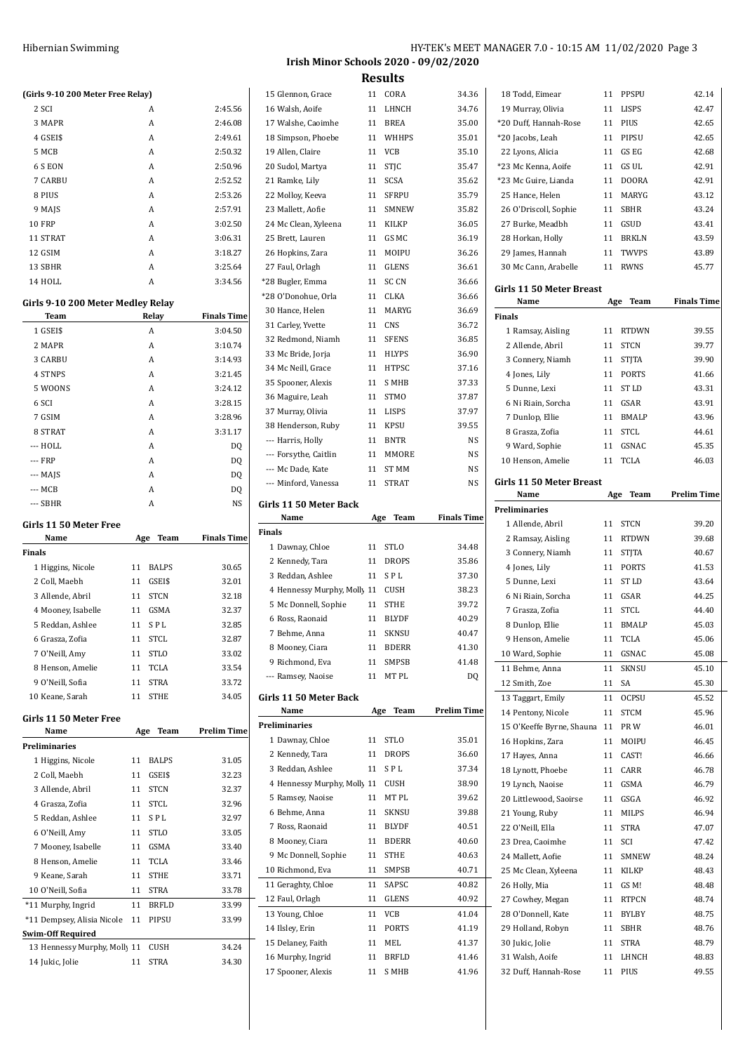|                                              | HY-TEK's MEET MANAGER 7.0 - 10:15 AM 11/02/2020 Page 3 |  |  |
|----------------------------------------------|--------------------------------------------------------|--|--|
| <b>Irish Minor Schools 2020 - 09/02/2020</b> |                                                        |  |  |

| (Girls 9-10 200 Meter Free Relay)                        |     |              |                    |
|----------------------------------------------------------|-----|--------------|--------------------|
| 2 SCI                                                    |     | A            | 2:45.56            |
| 3 MAPR                                                   |     | A            | 2:46.08            |
| 4 GSEI\$                                                 |     | A            | 2:49.61            |
| 5 MCB                                                    |     | A            | 2:50.32            |
| 6 S EON                                                  |     | A            | 2:50.96            |
| 7 CARBU                                                  |     | A            | 2:52.52            |
| 8 PIUS                                                   |     | A            | 2:53.26            |
| 9 MAJS                                                   |     | A            | 2:57.91            |
| <b>10 FRP</b>                                            |     | A            | 3:02.50            |
| 11 STRAT                                                 |     | A<br>A       | 3:06.31            |
| 12 GSIM<br>13 SBHR                                       |     |              | 3:18.27            |
| 14 HOLL                                                  |     | A<br>A       | 3:25.64            |
|                                                          |     |              | 3:34.56            |
| Girls 9-10 200 Meter Medley Relay                        |     |              |                    |
| Team                                                     |     | Relay        | <b>Finals Time</b> |
| 1 GSEI\$                                                 |     | A            | 3:04.50            |
| 2 MAPR                                                   |     | A            | 3:10.74            |
| 3 CARBU                                                  |     | A            | 3:14.93            |
| <b>4 STNPS</b>                                           |     | A            | 3:21.45            |
| 5 WOONS                                                  |     | A            | 3:24.12            |
| 6 SCI                                                    |     | A            | 3:28.15            |
| 7 GSIM                                                   |     | A            | 3:28.96            |
| 8 STRAT                                                  |     | A            | 3:31.17            |
| --- HOLL                                                 |     | A            | DQ                 |
| --- FRP                                                  |     | A            | DQ                 |
| --- MAJS                                                 |     | A            | DQ                 |
| --- MCB                                                  |     | A            | DQ                 |
| --- SBHR                                                 |     | A            | NS                 |
|                                                          |     |              |                    |
| Girls 11 50 Meter Free                                   |     |              |                    |
| Name                                                     | Age | Team         | <b>Finals Time</b> |
| Finals                                                   |     |              |                    |
| 1 Higgins, Nicole                                        |     | 11 BALPS     | 30.65              |
| 2 Coll, Maebh                                            |     | 11 GSEI\$    | 32.01              |
| 3 Allende, Abril                                         |     | 11 STCN      | 32.18              |
| 4 Mooney, Isabelle                                       |     | 11 GSMA      | 32.37              |
| 5 Reddan, Ashlee                                         |     | 11 SPL       | 32.85              |
| 6 Grasza. Zofia                                          |     | 11 STCL      | 32.87              |
| 7 O'Neill, Amy                                           | 11  | <b>STLO</b>  | 33.02              |
| 8 Henson, Amelie                                         | 11  | TCLA         | 33.54              |
| 9 O'Neill, Sofia                                         | 11  | <b>STRA</b>  | 33.72              |
| 10 Keane, Sarah                                          | 11  | <b>STHE</b>  | 34.05              |
|                                                          |     |              |                    |
| Girls 11 50 Meter Free<br>Name                           |     | Team         | <b>Prelim Time</b> |
| <b>Preliminaries</b>                                     | Age |              |                    |
|                                                          | 11  | <b>BALPS</b> | 31.05              |
| 1 Higgins, Nicole<br>2 Coll, Maebh                       | 11  | GSEI\$       | 32.23              |
|                                                          | 11  | <b>STCN</b>  | 32.37              |
| 3 Allende, Abril<br>4 Grasza, Zofia                      | 11  | STCL         | 32.96              |
|                                                          | 11  | SPL          | 32.97              |
| 5 Reddan, Ashlee<br>6 O'Neill, Amy                       | 11  | <b>STLO</b>  | 33.05              |
| 7 Mooney, Isabelle                                       | 11  | GSMA         | 33.40              |
| 8 Henson, Amelie                                         | 11  | TCLA         | 33.46              |
| 9 Keane, Sarah                                           | 11  | <b>STHE</b>  | 33.71              |
| 10 O'Neill, Sofia                                        | 11  | <b>STRA</b>  | 33.78              |
|                                                          | 11  | <b>BRFLD</b> | 33.99              |
| *11 Murphy, Ingrid<br>*11 Dempsey, Alisia Nicole         | 11  | PIPSU        | 33.99              |
|                                                          |     |              |                    |
| <b>Swim-Off Required</b><br>13 Hennessy Murphy, Molly 11 |     | CUSH         | 34.24              |
| 14 Jukic, Jolie                                          | 11  | <b>STRA</b>  | 34.30              |

| 15 Glennon, Grace                       | 11       | CORA                  | 34.36              |
|-----------------------------------------|----------|-----------------------|--------------------|
| 16 Walsh, Aoife                         | 11       | LHNCH                 | 34.76              |
| 17 Walshe, Caoimhe                      | 11       | <b>BREA</b>           | 35.00              |
| 18 Simpson, Phoebe                      | 11       | WHHPS                 | 35.01              |
| 19 Allen, Claire                        | 11       | VCB                   | 35.10              |
| 20 Sudol, Martya                        | 11       | STJC                  | 35.47              |
| 21 Ramke, Lily                          | 11       | <b>SCSA</b>           | 35.62              |
| 22 Molloy, Keeva                        | 11       | <b>SFRPU</b>          | 35.79              |
| 23 Mallett, Aofie                       | 11       | <b>SMNEW</b>          | 35.82              |
| 24 Mc Clean, Xyleena                    | 11       | <b>KILKP</b>          | 36.05              |
| 25 Brett, Lauren                        | 11       | GS MC                 | 36.19              |
| 26 Hopkins, Zara                        | 11       | MOIPU                 | 36.26              |
| 27 Faul, Orlagh                         | 11       | <b>GLENS</b>          | 36.61              |
| *28 Bugler, Emma                        | 11       | SC CN                 | 36.66              |
| *28 O'Donohue, Orla                     | 11       | CLKA                  | 36.66              |
| 30 Hance, Helen                         | 11       | MARYG                 | 36.69              |
| 31 Carley, Yvette                       | 11       | <b>CNS</b>            | 36.72              |
| 32 Redmond, Niamh                       | 11       | <b>SFENS</b>          | 36.85              |
| 33 Mc Bride, Jorja                      | 11       | <b>HLYPS</b>          | 36.90              |
| 34 Mc Neill, Grace                      | 11       | <b>HTPSC</b>          | 37.16              |
| 35 Spooner, Alexis                      | 11       | S MHB                 | 37.33              |
| 36 Maguire, Leah                        | 11       | <b>STMO</b>           | 37.87              |
| 37 Murray, Olivia                       | 11       | LISPS                 | 37.97              |
| 38 Henderson, Ruby                      | 11       | <b>KPSU</b>           | 39.55              |
| --- Harris, Holly                       | 11       | <b>BNTR</b>           | NS                 |
| --- Forsythe, Caitlin                   | 11       | <b>MMORE</b>          | NS                 |
| --- Mc Dade, Kate                       | 11       | ST MM                 | NS                 |
| --- Minford, Vanessa                    | 11       | <b>STRAT</b>          | NS                 |
| Girls 11 50 Meter Back                  |          |                       |                    |
| Name                                    | Age      | Team                  | <b>Finals Time</b> |
|                                         |          |                       |                    |
| <b>Finals</b>                           |          |                       |                    |
| 1 Dawnay, Chloe                         | 11       | <b>STLO</b>           | 34.48              |
| 2 Kennedy, Tara                         | 11       | <b>DROPS</b>          | 35.86              |
| 3 Reddan, Ashlee                        | 11       | SPL                   | 37.30              |
| 4 Hennessy Murphy, Molly 11             |          | <b>CUSH</b>           | 38.23              |
| 5 Mc Donnell, Sophie                    | 11       | STHE                  | 39.72              |
| 6 Ross, Raonaid                         | 11       | <b>BLYDF</b>          | 40.29              |
| 7 Behme, Anna                           | 11       | <b>SKNSU</b>          | 40.47              |
| 8 Mooney, Ciara                         | 11       | <b>BDERR</b>          | 41.30              |
|                                         | 11       | <b>SMPSB</b>          | 41.48              |
| 9 Richmond, Eva<br>--- Ramsey, Naoise   | 11       | MT PL                 | DQ                 |
|                                         |          |                       |                    |
| Girls 11 50 Meter Back                  |          |                       |                    |
| Name                                    | Age      | Team                  | <b>Prelim Time</b> |
| <b>Preliminaries</b>                    |          |                       |                    |
| 1 Dawnay, Chloe                         | 11       | <b>STLO</b>           | 35.01              |
| 2 Kennedy, Tara                         | 11       | <b>DROPS</b>          | 36.60              |
| 3 Reddan, Ashlee                        | 11       | SPL                   | 37.34              |
| 4 Hennessy Murphy, Molly 11             |          | CUSH                  | 38.90              |
| 5 Ramsey, Naoise                        | 11       | MT PL                 | 39.62              |
| 6 Behme, Anna                           | 11       | SKNSU                 | 39.88              |
| 7 Ross, Raonaid                         | 11       | <b>BLYDF</b>          | 40.51              |
| 8 Mooney, Ciara                         | 11       | <b>BDERR</b>          | 40.60              |
| 9 Mc Donnell, Sophie                    | 11       | <b>STHE</b>           | 40.63              |
| 10 Richmond, Eva                        | 11       | SMPSB                 | 40.71              |
| 11 Geraghty, Chloe                      | 11       | SAPSC                 | 40.82              |
| 12 Faul, Orlagh                         | 11       | <b>GLENS</b>          | 40.92              |
| 13 Young, Chloe                         | 11       | VCB                   | 41.04              |
| 14 Ilsley, Erin                         | 11       | <b>PORTS</b>          | 41.19              |
| 15 Delaney, Faith                       | 11       | MEL                   | 41.37              |
| 16 Murphy, Ingrid<br>17 Spooner, Alexis | 11<br>11 | <b>BRFLD</b><br>S MHB | 41.46<br>41.96     |

| 18 Todd, Eimear                         | 11       | PPSPU         | 42.14              |
|-----------------------------------------|----------|---------------|--------------------|
| 19 Murray, Olivia                       | 11       | LISPS         | 42.47              |
| *20 Duff. Hannah-Rose                   | 11       | PIUS          | 42.65              |
| *20 Jacobs, Leah                        | 11       | PIPSU         | 42.65              |
| 22 Lyons, Alicia                        | 11       | GS EG         | 42.68              |
| *23 Mc Kenna, Aoife                     | 11       | GS UL         | 42.91              |
| *23 Mc Guire, Lianda                    | 11       | <b>DOORA</b>  | 42.91              |
| 25 Hance, Helen                         | 11       | MARYG         | 43.12              |
| 26 O'Driscoll, Sophie                   | 11       | <b>SBHR</b>   | 43.24              |
| 27 Burke, Meadbh                        |          | 11 GSUD       | 43.41              |
| 28 Horkan, Holly                        | 11       | <b>BRKLN</b>  | 43.59              |
| 29 James, Hannah                        | 11       | <b>TWVPS</b>  | 43.89              |
| 30 Mc Cann, Arabelle                    | 11       | RWNS          | 45.77              |
| Girls 11 50 Meter Breast                |          |               |                    |
| Name                                    | Age      | Team          | <b>Finals Time</b> |
| <b>Finals</b>                           |          |               |                    |
| 1 Ramsay, Aisling                       | 11       | <b>RTDWN</b>  | 39.55              |
| 2 Allende, Abril                        | 11       | <b>STCN</b>   | 39.77              |
| 3 Connery, Niamh                        | 11       | <b>STITA</b>  | 39.90              |
| 4 Jones, Lily                           | 11       | PORTS         | 41.66              |
| 5 Dunne, Lexi                           | 11       | ST LD         | 43.31              |
| 6 Ni Riain, Sorcha                      |          | 11 GSAR       | 43.91              |
| 7 Dunlop, Ellie                         | 11       | BMALP         | 43.96              |
| 8 Grasza, Zofia                         | 11       | STCL          | 44.61              |
| 9 Ward, Sophie                          | 11       | GSNAC         | 45.35              |
|                                         | 11       | TCLA          | 46.03              |
| 10 Henson, Amelie                       |          |               |                    |
| Girls 11 50 Meter Breast                |          |               |                    |
| Name                                    | Age      | Team          | <b>Prelim Time</b> |
| Preliminaries                           |          |               |                    |
| 1 Allende, Abril                        | 11       | <b>STCN</b>   | 39.20              |
|                                         |          |               |                    |
| 2 Ramsay, Aisling                       | 11       | <b>RTDWN</b>  | 39.68              |
| 3 Connery, Niamh                        | 11       | <b>STJTA</b>  | 40.67              |
| 4 Jones, Lily                           | 11       | <b>PORTS</b>  | 41.53              |
| 5 Dunne, Lexi                           | 11       | ST LD         | 43.64              |
| 6 Ni Riain, Sorcha                      |          | 11 GSAR       | 44.25              |
| 7 Grasza, Zofia                         | 11       | <b>STCL</b>   | 44.40              |
| 8 Dunlop, Ellie                         | 11       | <b>BMALP</b>  | 45.03              |
| 9 Henson, Amelie                        | 11       | <b>TCLA</b>   | 45.06              |
| 10 Ward, Sophie                         | 11       | GSNAC         | 45.08              |
| 11 Behme, Anna                          | 11       | SKNSU         | 45.10              |
| 12 Smith, Zoe                           | 11       | SA            | 45.30              |
| 13 Taggart, Emily                       | 11       | <b>OCPSU</b>  | 45.52              |
| 14 Pentony, Nicole                      | 11       | <b>STCM</b>   | 45.96              |
| 15 O'Keeffe Byrne, Shauna               | 11       | PR W          | 46.01              |
| 16 Hopkins, Zara                        | 11       | MOIPU         | 46.45              |
| 17 Hayes, Anna                          | 11       | CAST!         | 46.66              |
| 18 Lynott, Phoebe                       | 11       | CARR          | 46.78              |
| 19 Lynch, Naoise                        | 11       | GSMA          | 46.79              |
| 20 Littlewood, Saoirse                  | 11       | GSGA          | 46.92              |
| 21 Young, Ruby                          | 11       | MILPS         | 46.94              |
| 22 O'Neill, Ella                        | 11       | STRA          | 47.07              |
| 23 Drea, Caoimhe                        | 11       | SCI           | 47.42              |
| 24 Mallett, Aofie                       | 11       | SMNEW         | 48.24              |
| 25 Mc Clean, Xyleena                    | 11       | KILKP         | 48.43              |
| 26 Holly, Mia                           | 11       | GS M!         | 48.48              |
| 27 Cowhey, Megan                        | 11       | RTPCN         | 48.74              |
| 28 O'Donnell, Kate                      | 11       | BYLBY         | 48.75              |
| 29 Holland, Robyn                       | 11       | SBHR          | 48.76              |
| 30 Jukic, Jolie                         | 11       | STRA          | 48.79              |
| 31 Walsh, Aoife<br>32 Duff, Hannah-Rose | 11<br>11 | LHNCH<br>PIUS | 48.83<br>49.55     |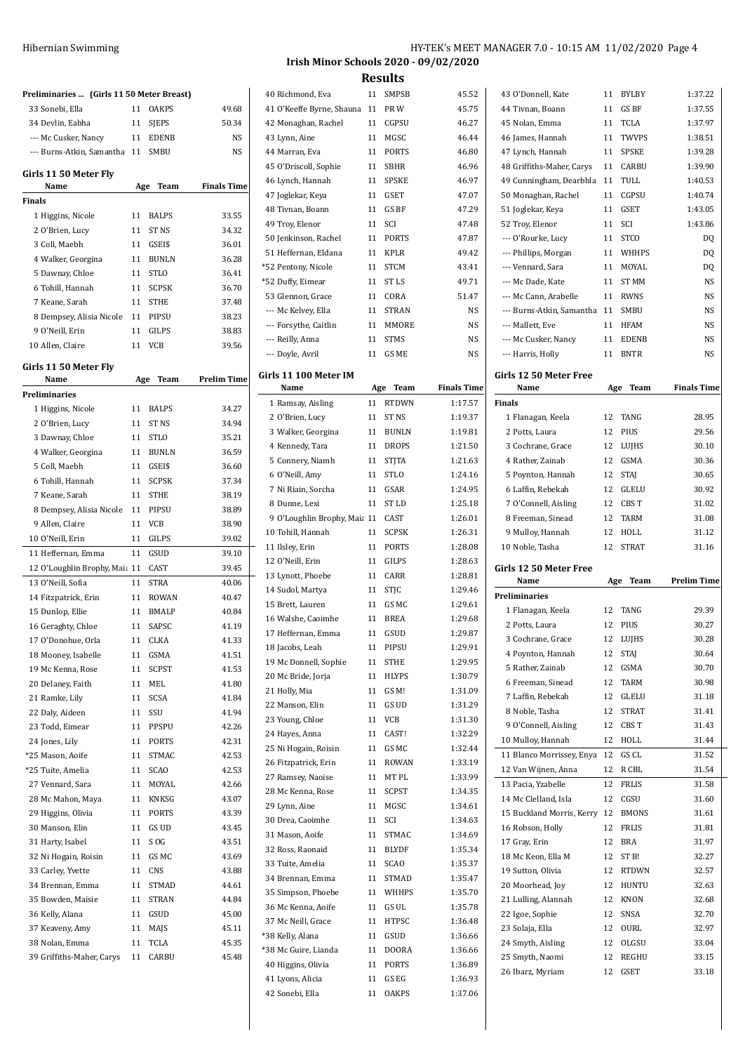| Preliminaries  (Girls 11 50 Meter Breast) |     |              |                    |
|-------------------------------------------|-----|--------------|--------------------|
| 33 Sonebi, Ella                           | 11  | <b>OAKPS</b> | 49.68              |
| 34 Devlin, Eabha                          | 11  | <b>SIEPS</b> | 50.34              |
| --- Mc Cusker, Nancy                      | 11  | <b>EDENB</b> | NS                 |
| --- Burns-Atkin, Samantha 11              |     | <b>SMBU</b>  | NS                 |
| Girls 11 50 Meter Fly<br>Name             | Age | Team         | <b>Finals Time</b> |
| Finals                                    |     |              |                    |
| 1 Higgins, Nicole                         | 11  | <b>BALPS</b> | 33.55              |
| 2 O'Brien, Lucy                           | 11  | ST NS        | 34.32              |
| 3 Coll, Maebh                             | 11  | GSEI\$       | 36.01              |
| 4 Walker, Georgina                        | 11  | <b>BUNLN</b> | 36.28              |
| 5 Dawnay, Chloe                           | 11  | <b>STLO</b>  | 36.41              |
| 6 Tohill, Hannah                          | 11  | <b>SCPSK</b> | 36.70              |
| 7 Keane, Sarah                            | 11  | <b>STHE</b>  | 37.48              |
| 8 Dempsey, Alisia Nicole                  | 11  | PIPSU        | 38.23              |
| 9 O'Neill, Erin                           | 11  | GILPS        | 38.83              |
| 10 Allen, Claire                          | 11  | VCB          | 39.56              |
| Girls 11 50 Meter Fly                     |     |              |                    |
| Name                                      | Age | Team         | <b>Prelim Time</b> |
| Preliminaries                             |     |              |                    |
| 1 Higgins, Nicole                         | 11  | <b>BALPS</b> | 34.27              |
| 2 O'Brien, Lucy                           | 11  | ST NS        | 34.94              |
| 3 Dawnay, Chloe                           | 11  | <b>STLO</b>  | 35.21              |
| 4 Walker, Georgina                        | 11  | <b>BUNLN</b> | 36.59              |
| 5 Coll, Maebh                             | 11  | GSEI\$       | 36.60              |
| 6 Tohill, Hannah                          | 11  | <b>SCPSK</b> | 37.34              |
| 7 Keane, Sarah                            | 11  | <b>STHE</b>  | 38.19              |
| 8 Dempsey, Alisia Nicole                  | 11  | PIPSU        | 38.89              |
| 9 Allen, Claire                           | 11  | VCB          | 38.90              |
| 10 O'Neill, Erin                          | 11  | GILPS        | 39.02              |
| 11 Heffernan, Emma                        | 11  | GSUD         | 39.10              |
| 12 O'Loughlin Brophy, Maia 11             |     | CAST         | 39.45              |
| 13 O'Neill, Sofia                         | 11  | <b>STRA</b>  | 40.06              |
| 14 Fitzpatrick, Erin                      | 11  | <b>ROWAN</b> | 40.47              |
| 15 Dunlop, Ellie                          | 11  | <b>BMALP</b> | 40.84              |
| 16 Geraghty, Chloe                        | 11  | <b>SAPSC</b> | 41.19              |
| 17 O'Donohue, Orla                        |     | 11 CLKA      | 41.33              |
| 18 Mooney, Isabelle                       | 11  | GSMA         | 41.51              |
| 19 Mc Kenna, Rose                         | 11  | SCPST        | 41.53              |
| 20 Delaney, Faith                         | 11  | MEL          | 41.80              |
| 21 Ramke, Lily                            | 11  | SCSA         | 41.84              |
| 22 Daly, Aideen                           | 11  | SSU          | 41.94              |
| 23 Todd, Eimear                           | 11  | PPSPU        | 42.26              |
| 24 Jones, Lily                            | 11  | PORTS        | 42.31              |
| *25 Mason, Aoife                          | 11  | STMAC        | 42.53              |
| *25 Tuite, Amelia                         | 11  | SCAO         | 42.53              |
| 27 Vennard, Sara                          | 11  | MOYAL        | 42.66              |
| 28 Mc Mahon, Maya                         | 11  | KNKSG        | 43.07              |
| 29 Higgins, Olivia                        | 11  | PORTS        | 43.39              |
| 30 Manson, Elin                           | 11  | GS UD        | 43.45              |
| 31 Harty, Isabel                          | 11  | S OG         | 43.51              |
| 32 Ni Hogain, Roisin                      | 11  | GS MC        | 43.69              |
| 33 Carley, Yvette                         | 11  | CNS          | 43.88              |
| 34 Brennan, Emma                          | 11  | STMAD        | 44.61              |
| 35 Bowden, Maisie                         | 11  | STRAN        | 44.84              |
| 36 Kelly, Alana                           | 11  | GSUD         | 45.00              |
| 37 Keaveny, Amy                           | 11  | MAJS         | 45.11              |
| 38 Nolan, Emma                            | 11  | TCLA         | 45.35              |
| 39 Griffiths-Maher, Carys                 | 11  | CARBU        | 45.48              |

### HY-TEK's MEET MANAGER 7.0 - 10:15 AM 11/02/2020 Page 4 **Irish Minor Schools 2020 - 09/02/2020**

**Results**

| 40 Richmond, Eva             | 11  | SMPSB        | 45.52              |
|------------------------------|-----|--------------|--------------------|
| 41 O'Keeffe Byrne, Shauna    | 11  | PR W         | 45.75              |
| 42 Monaghan, Rachel          | 11  | CGPSU        | 46.27              |
| 43 Lynn, Aine                | 11  | MGSC         | 46.44              |
| 44 Marran, Eva               | 11  | <b>PORTS</b> | 46.80              |
| 45 O'Driscoll, Sophie        | 11  | SBHR         | 46.96              |
| 46 Lynch, Hannah             | 11  | <b>SPSKE</b> | 46.97              |
| 47 Joglekar, Keya            | 11  | <b>GSET</b>  | 47.07              |
| 48 Tivnan, Boann             | 11  | GS BF        | 47.29              |
| 49 Troy, Elenor              | 11  | SCI          | 47.48              |
| 50 Jenkinson, Rachel         | 11  | <b>PORTS</b> | 47.87              |
| 51 Heffernan, Eldana         | 11  | <b>KPLR</b>  | 49.42              |
| *52 Pentony, Nicole          | 11  | <b>STCM</b>  | 43.41              |
| *52 Duffy, Eimear            | 11  | ST LS        | 49.71              |
| 53 Glennon, Grace            | 11  | CORA         | 51.47              |
| --- Mc Kelvey, Ella          | 11  | <b>STRAN</b> | NS                 |
| --- Forsythe, Caitlin        | 11  | MMORE        | NS                 |
| --- Reilly, Anna             | 11  | <b>STMS</b>  | NS                 |
| --- Doyle, Avril             | 11  | GS ME        | NS                 |
|                              |     |              |                    |
| Girls 11 100 Meter IM        |     |              |                    |
| Name                         | Age | Team         | <b>Finals Time</b> |
| 1 Ramsay, Aisling            | 11  | <b>RTDWN</b> | 1:17.57            |
| 2 O'Brien, Lucy              | 11  | ST NS        | 1:19.37            |
| 3 Walker, Georgina           | 11  | <b>BUNLN</b> | 1:19.81            |
| 4 Kennedy, Tara              | 11  | DROPS        | 1:21.50            |
| 5 Connery, Niamh             | 11  | <b>STJTA</b> | 1:21.63            |
| 6 O'Neill, Amy               | 11  | STLO         | 1:24.16            |
| 7 Ni Riain, Sorcha           | 11  | GSAR         | 1:24.95            |
| 8 Dunne, Lexi                | 11  | ST LD        | 1:25.18            |
| 9 O'Loughlin Brophy, Maia 11 |     | CAST         | 1:26.01            |
| 10 Tohill, Hannah            | 11  | <b>SCPSK</b> | 1:26.31            |
| 11 Ilsley, Erin              | 11  | PORTS        | 1:28.08            |
| 12 O'Neill, Erin             | 11  | GILPS        | 1:28.63            |
| 13 Lynott, Phoebe            | 11  | CARR         | 1:28.81            |
| 14 Sudol, Martya             | 11  | STJC         | 1:29.46            |
| 15 Brett, Lauren             | 11  | GS MC        | 1:29.61            |
| 16 Walshe, Caoimhe           | 11  | <b>BREA</b>  | 1:29.68            |
| 17 Heffernan, Emma           | 11  | GSUD         | 1:29.87            |
| 18 Jacobs, Leah              | 11  | PIPSU        | 1:29.91            |
| 19 Mc Donnell, Sophie        | 11  | STHE         | 1:29.95            |
| 20 Mc Bride, Jorja           | 11  | HLYPS        | 1:30.79            |
| 21 Holly, Mia                | 11  | GS M!        | 1:31.09            |
| 22 Manson, Elin              | 11  | GS UD        | 1:31.29            |
| 23 Young, Chloe              | 11  | VCB          | 1:31.30            |
| 24 Hayes, Anna               | 11  | CAST!        | 1:32.29            |
| 25 Ni Hogain, Roisin         | 11  | GS MC        | 1:32.44            |
| 26 Fitzpatrick, Erin         | 11  | ROWAN        | 1:33.19            |
| 27 Ramsey, Naoise            | 11  | MT PL        | 1:33.99            |
| 28 Mc Kenna, Rose            | 11  | SCPST        | 1:34.35            |
| 29 Lynn, Aine                | 11  | MGSC         | 1:34.61            |
| 30 Drea, Caoimhe             | 11  | SCI          | 1:34.63            |
| 31 Mason, Aoife              | 11  | STMAC        | 1:34.69            |
| 32 Ross, Raonaid             | 11  | BLYDF        | 1:35.34            |
| 33 Tuite, Amelia             | 11  | <b>SCAO</b>  | 1:35.37            |
| 34 Brennan, Emma             | 11  | STMAD        | 1:35.47            |
| 35 Simpson, Phoebe           | 11  | WHHPS        | 1:35.70            |
| 36 Mc Kenna, Aoife           | 11  | GS UL        | 1:35.78            |
| 37 Mc Neill, Grace           | 11  | HTPSC        | 1:36.48            |
| *38 Kelly, Alana             | 11  | GSUD         | 1:36.66            |
| *38 Mc Guire, Lianda         | 11  | DOORA        | 1:36.66            |
| 40 Higgins, Olivia           | 11  | PORTS        | 1:36.89            |
| 41 Lyons, Alicia             | 11  | GS EG        | 1:36.93            |
|                              | 11  | OAKPS        | 1:37.06            |

| 43 O'Donnell, Kate        | 11  | <b>BYLBY</b>     | 1:37.22            |
|---------------------------|-----|------------------|--------------------|
| 44 Tivnan, Boann          | 11  | GS BF            | 1:37.55            |
| 45 Nolan, Emma            | 11  | <b>TCLA</b>      | 1:37.97            |
| 46 James, Hannah          | 11  | <b>TWVPS</b>     | 1:38.51            |
|                           | 11  | SPSKE            | 1:39.28            |
| 47 Lynch, Hannah          |     |                  | 1:39.90            |
| 48 Griffiths-Maher, Carys | 11  | <b>CARBU</b>     |                    |
| 49 Cunningham, Dearbhla   | 11  | TULL             | 1:40.53            |
| 50 Monaghan, Rachel       | 11  | CGPSU            | 1:40.74            |
| 51 Joglekar, Keya         | 11  | <b>GSET</b>      | 1:43.05            |
| 52 Troy, Elenor           | 11  | SCI              | 1:43.86            |
| --- O'Rourke, Lucy        | 11  | <b>STCO</b>      | DQ                 |
| --- Phillips, Morgan      | 11  | WHHPS            | DQ                 |
| --- Vennard, Sara         | 11  | MOYAL            | DQ                 |
| --- Mc Dade, Kate         | 11  | <b>ST MM</b>     | NS                 |
| --- Mc Cann, Arabelle     | 11  | <b>RWNS</b>      | NS                 |
| --- Burns-Atkin, Samantha | 11  | SMBU             | <b>NS</b>          |
| --- Mallett, Eve          | 11  | <b>HFAM</b>      | NS                 |
| --- Mc Cusker, Nancy      | 11  | <b>EDENB</b>     | <b>NS</b>          |
| --- Harris, Holly         | 11  | <b>BNTR</b>      | <b>NS</b>          |
|                           |     |                  |                    |
| Girls 12 50 Meter Free    |     |                  |                    |
| Name                      | Age | Team             | <b>Finals Time</b> |
| <b>Finals</b>             |     |                  |                    |
| 1 Flanagan, Keela         | 12  | TANG             | 28.95              |
| 2 Potts, Laura            | 12  | PIUS             | 29.56              |
| 3 Cochrane, Grace         | 12  | LUJHS            | 30.10              |
| 4 Rather, Zainab          | 12  | GSMA             | 30.36              |
| 5 Poynton, Hannah         | 12  | <b>STAJ</b>      | 30.65              |
| 6 Laffin, Rebekah         | 12  | <b>GLELU</b>     | 30.92              |
| 7 O'Connell, Aisling      | 12  | CBS T            | 31.02              |
| 8 Freeman, Sinead         | 12  | TARM             | 31.08              |
|                           |     |                  |                    |
| 9 Mulloy, Hannah          | 12  | HOLL             | 31.12              |
|                           |     |                  |                    |
| 10 Noble, Tasha           | 12  | <b>STRAT</b>     | 31.16              |
| Girls 12 50 Meter Free    |     |                  |                    |
| Name                      | Age | Team             | <b>Prelim Time</b> |
| <b>Preliminaries</b>      |     |                  |                    |
| 1 Flanagan, Keela         | 12  | TANG             | 29.39              |
| 2 Potts, Laura            | 12  | PIUS             | 30.27              |
| 3 Cochrane, Grace         | 12  | LUJHS            | 30.28              |
|                           | 12  |                  |                    |
| 4 Poynton, Hannah         |     | <b>STAJ</b>      | 30.64              |
| 5 Rather, Zainab          | 12  | GSMA             | 30.70              |
| 6 Freeman, Sinead         | 12  | TARM             | 30.98              |
| 7 Laffin, Rebekah         | 12  | GLELU            | 31.18              |
| 8 Noble, Tasha            | 12  | <b>STRAT</b>     | 31.41              |
| 9 O'Connell, Aisling      | 12  | CBS T            | 31.43              |
| 10 Mulloy, Hannah         | 12  | HOLL             | 31.44              |
| 11 Blanco Morrissey, Enya | 12  | GS CL            | 31.52              |
| 12 Van Wijnen, Anna       | 12  | R CBL            | 31.54              |
| 13 Pacia, Yzabelle        | 12  | FRLIS            | 31.58              |
| 14 Mc Clelland, Isla      | 12  | CGSU             | 31.60              |
| 15 Buckland Morris, Kerry | 12  | <b>BMONS</b>     | 31.61              |
| 16 Robson, Holly          | 12  | <b>FRLIS</b>     | 31.81              |
| 17 Gray, Erin             | 12  | BRA              | 31.97              |
| 18 Mc Keon, Ella M        | 12  | ST <sub>B!</sub> | 32.27              |
| 19 Sutton, Olivia         | 12  | <b>RTDWN</b>     | 32.57              |
| 20 Moorhead, Joy          | 12  | HUNTU            | 32.63              |
|                           |     |                  |                    |
| 21 Lulling, Alannah       | 12  | <b>KNON</b>      | 32.68              |
| 22 Igoe, Sophie           | 12  | SNSA             | 32.70              |
| 23 Solaja, Ella           | 12  | OURL             | 32.97              |
| 24 Smyth, Aisling         | 12  | OLGSU            | 33.04              |
| 25 Smyth, Naomi           | 12  | REGHU            | 33.15              |
| 26 Ibarz, Myriam          | 12  | GSET             | 33.18              |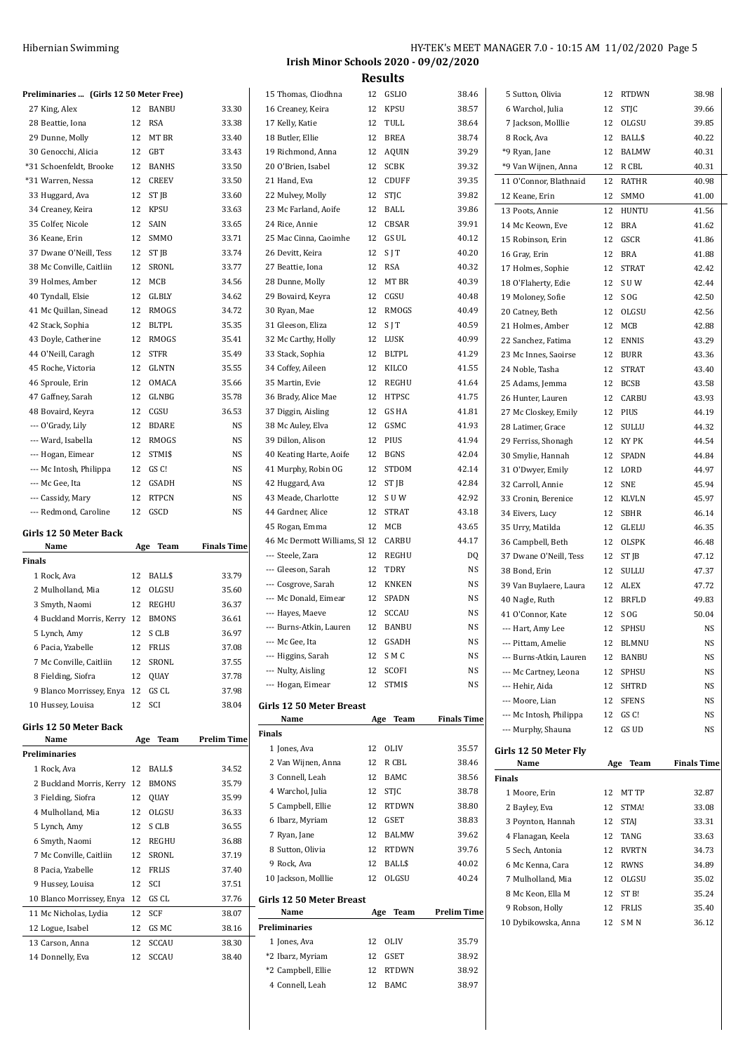| Hibernian Swimming | HY-TEK's MEET MANAGER 7.0 - 10:15 AM 11/02/2020 Page 5 |
|--------------------|--------------------------------------------------------|
|                    | Irish Minor Schools 2020 - 09/02/2020                  |

| Preliminaries  (Girls 12 50 Meter Free) |    |                     |                    | 15 Thomas, Cliodhna                    | 12 GSLIO            | 38.46              | 5 Sutton, Olivia        |    | 12 RTDWN     | 38.98              |
|-----------------------------------------|----|---------------------|--------------------|----------------------------------------|---------------------|--------------------|-------------------------|----|--------------|--------------------|
| 27 King, Alex                           |    | 12 BANBU            | 33.30              | 16 Creaney, Keira                      | 12 KPSU             | 38.57              | 6 Warchol, Julia        |    | 12 STJC      | 39.66              |
| 28 Beattie, Iona                        |    | 12 RSA              | 33.38              | 17 Kelly, Katie                        | 12 TULL             | 38.64              | 7 Jackson, Molllie      |    | 12 OLGSU     | 39.85              |
| 29 Dunne, Molly                         |    | 12 MT BR            | 33.40              | 18 Butler, Ellie                       | 12 BREA             | 38.74              | 8 Rock, Ava             |    | 12 BALL\$    | 40.22              |
| 30 Genocchi, Alicia                     |    | 12 GBT              | 33.43              | 19 Richmond, Anna                      | 12 AQUIN            | 39.29              | *9 Ryan, Jane           | 12 | BALMW        | 40.31              |
| *31 Schoenfeldt, Brooke                 |    | 12 BANHS            | 33.50              | 20 O'Brien, Isabel                     | 12 SCBK             | 39.32              | *9 Van Wijnen, Anna     |    | 12 R CBL     | 40.31              |
| *31 Warren, Nessa                       |    | 12 CREEV            | 33.50              | 21 Hand, Eva                           | 12 CDUFF            | 39.35              | 11 O'Connor, Blathnaid  |    | 12 RATHR     | 40.98              |
| 33 Huggard, Ava                         |    | 12 ST JB            | 33.60              | 22 Mulvey, Molly                       | 12 STJC             | 39.82              | 12 Keane, Erin          |    | 12 SMMO      | 41.00              |
| 34 Creaney, Keira                       | 12 | <b>KPSU</b>         | 33.63              | 23 Mc Farland, Aoife                   | 12 BALL             | 39.86              | 13 Poots, Annie         |    | 12 HUNTU     | 41.56              |
| 35 Colfer, Nicole                       | 12 | SAIN                | 33.65              | 24 Rice, Annie                         | 12 CBSAR            | 39.91              | 14 Mc Keown, Eve        | 12 | <b>BRA</b>   | 41.62              |
| 36 Keane, Erin                          |    | 12 SMMO             | 33.71              | 25 Mac Cinna, Caoimhe                  | 12 GS UL            | 40.12              | 15 Robinson, Erin       | 12 | GSCR         | 41.86              |
| 37 Dwane O'Neill, Tess                  |    | 12 ST <sub>IB</sub> | 33.74              | 26 Devitt, Keira                       | $12$ SIT            | 40.20              | 16 Gray, Erin           | 12 | <b>BRA</b>   | 41.88              |
| 38 Mc Conville, Caitliin                |    | 12 SRONL            | 33.77              | 27 Beattie, Iona                       | 12 RSA              | 40.32              | 17 Holmes, Sophie       | 12 | <b>STRAT</b> | 42.42              |
| 39 Holmes, Amber                        |    | 12 MCB              | 34.56              | 28 Dunne, Molly                        | 12 MT BR            | 40.39              | 18 O'Flaherty, Edie     |    | 12 SUW       | 42.44              |
| 40 Tyndall, Elsie                       |    | 12 GLBLY            | 34.62              | 29 Bovaird, Keyra                      | 12 CGSU             | 40.48              | 19 Moloney, Sofie       |    | 12 SOG       | 42.50              |
| 41 Mc Quillan, Sinead                   |    | 12 RMOGS            | 34.72              | 30 Ryan, Mae                           | 12 RMOGS            | 40.49              | 20 Catney, Beth         |    | 12 OLGSU     | 42.56              |
| 42 Stack, Sophia                        |    | 12 BLTPL            | 35.35              | 31 Gleeson, Eliza                      | $12$ SJT            | 40.59              | 21 Holmes, Amber        |    | 12 MCB       | 42.88              |
| 43 Doyle, Catherine                     |    | 12 RMOGS            | 35.41              | 32 Mc Carthy, Holly                    | 12 LUSK             | 40.99              | 22 Sanchez, Fatima      | 12 | <b>ENNIS</b> | 43.29              |
| 44 O'Neill, Caragh                      |    | 12 STFR             | 35.49              | 33 Stack, Sophia                       | 12 BLTPL            | 41.29              | 23 Mc Innes, Saoirse    |    | 12 BURR      | 43.36              |
| 45 Roche, Victoria                      | 12 | GLNTN               | 35.55              | 34 Coffey, Aileen                      | 12 KILCO            | 41.55              | 24 Noble, Tasha         |    | 12 STRAT     | 43.40              |
| 46 Sproule, Erin                        | 12 | OMACA               | 35.66              | 35 Martin, Evie                        | 12 REGHU            | 41.64              |                         |    |              |                    |
|                                         |    |                     |                    |                                        |                     |                    | 25 Adams, Jemma         |    | 12 BCSB      | 43.58              |
| 47 Gaffney, Sarah                       | 12 | GLNBG               | 35.78              | 36 Brady, Alice Mae                    | 12 HTPSC            | 41.75              | 26 Hunter, Lauren       |    | 12 CARBU     | 43.93              |
| 48 Bovaird, Keyra                       |    | 12 CGSU             | 36.53              | 37 Diggin, Aisling                     | 12 GS HA            | 41.81              | 27 Mc Closkey, Emily    |    | 12 PIUS      | 44.19              |
| --- O'Grady, Lily                       |    | 12 BDARE            | <b>NS</b>          | 38 Mc Auley, Elva                      | 12 GSMC             | 41.93              | 28 Latimer, Grace       |    | 12 SULLU     | 44.32              |
| --- Ward, Isabella                      |    | 12 RMOGS            | <b>NS</b>          | 39 Dillon, Alison                      | 12 PIUS             | 41.94              | 29 Ferriss, Shonagh     |    | 12 KY PK     | 44.54              |
| --- Hogan, Eimear                       |    | 12 STMI\$           | <b>NS</b>          | 40 Keating Harte, Aoife                | 12 BGNS             | 42.04              | 30 Smylie, Hannah       |    | 12 SPADN     | 44.84              |
| --- Mc Intosh, Philippa                 |    | 12 GS C!            | <b>NS</b>          | 41 Murphy, Robin OG                    | 12 STDOM            | 42.14              | 31 O'Dwyer, Emily       |    | 12 LORD      | 44.97              |
| --- Mc Gee, Ita                         |    | 12 GSADH            | <b>NS</b>          | 42 Huggard, Ava                        | 12 ST JB            | 42.84              | 32 Carroll, Annie       |    | 12 SNE       | 45.94              |
| --- Cassidy, Mary                       |    | 12 RTPCN            | <b>NS</b>          | 43 Meade, Charlotte                    | 12 SUW              | 42.92              | 33 Cronin, Berenice     |    | 12 KLVLN     | 45.97              |
| --- Redmond, Caroline                   |    | 12 GSCD             | <b>NS</b>          | 44 Gardner, Alice                      | 12 STRAT            | 43.18              | 34 Eivers, Lucy         |    | 12 SBHR      | 46.14              |
| Girls 12 50 Meter Back                  |    |                     |                    | 45 Rogan, Emma                         | 12 MCB              | 43.65              | 35 Urry, Matilda        | 12 | GLELU        | 46.35              |
| Name                                    |    | Age Team            | <b>Finals Time</b> | 46 Mc Dermott Williams, Sl 12 CARBU    |                     | 44.17              | 36 Campbell, Beth       |    | 12 OLSPK     | 46.48              |
| Finals                                  |    |                     |                    | --- Steele, Zara                       | 12 REGHU            | DQ                 | 37 Dwane O'Neill, Tess  |    | 12 ST JB     | 47.12              |
| 1 Rock, Ava                             |    | 12 BALL\$           | 33.79              | --- Gleeson, Sarah                     | 12 TDRY             | NS                 | 38 Bond, Erin           |    | 12 SULLU     | 47.37              |
| 2 Mulholland, Mia                       |    | 12 OLGSU            | 35.60              | --- Cosgrove, Sarah                    | 12 KNKEN            | NS                 | 39 Van Buylaere, Laura  |    | 12 ALEX      | 47.72              |
| 3 Smyth, Naomi                          |    | 12 REGHU            | 36.37              | --- Mc Donald, Eimear                  | 12 SPADN            | NS                 | 40 Nagle, Ruth          | 12 | <b>BRFLD</b> | 49.83              |
|                                         |    |                     |                    | --- Hayes, Maeve                       | 12 SCCAU            | NS                 | 41 O'Connor, Kate       |    | 12 SOG       | 50.04              |
| 4 Buckland Morris, Kerry 12             |    | <b>BMONS</b>        | 36.61              | --- Burns-Atkin, Lauren                | 12 BANBU            | <b>NS</b>          | --- Hart, Amy Lee       |    | 12 SPHSU     | <b>NS</b>          |
| 5 Lynch, Amy                            |    | 12 SCLB             | 36.97              | --- Mc Gee, Ita                        | 12 GSADH            | NS                 | --- Pittam, Amelie      |    | 12 BLMNU     | <b>NS</b>          |
| 6 Pacia, Yzabelle                       | 12 | FRLIS               | 37.08              | --- Higgins, Sarah                     | 12 SMC              | NS                 | --- Burns-Atkin, Lauren |    | 12 BANBU     | NS                 |
| 7 Mc Conville, Caitliin                 |    | 12 SRONL            | 37.55              | --- Nulty, Aisling                     | 12 SCOFI            | NS                 | --- Mc Cartney, Leona   |    | 12 SPHSU     | NS                 |
| 8 Fielding, Siofra                      | 12 | QUAY                | 37.78              | --- Hogan, Eimear                      | 12 STMI\$           | NS                 | --- Hehir, Aida         |    | 12 SHTRD     | NS                 |
| 9 Blanco Morrissey, Enya 12 GS CL       |    |                     | 37.98              |                                        |                     |                    | --- Moore, Lian         |    | 12 SFENS     | NS                 |
| 10 Hussey, Louisa                       |    | 12 SCI              | 38.04              | Girls 12 50 Meter Breast               |                     |                    | --- Mc Intosh, Philippa |    | 12 GS C!     | NS                 |
| Girls 12 50 Meter Back                  |    |                     |                    | Name                                   | Age Team            | <b>Finals Time</b> | --- Murphy, Shauna      |    | 12 GS UD     | NS                 |
| Name                                    |    | Age Team            | <b>Prelim Time</b> | <b>Finals</b>                          |                     |                    |                         |    |              |                    |
| Preliminaries                           |    |                     |                    | 1 Jones, Ava                           | 12 OLIV             | 35.57              | Girls 12 50 Meter Fly   |    |              |                    |
| 1 Rock, Ava                             |    | 12 BALL\$           | 34.52              | 2 Van Wijnen, Anna                     | 12 R CBL            | 38.46              | Name                    |    | Age Team     | <b>Finals Time</b> |
| 2 Buckland Morris, Kerry 12             |    | <b>BMONS</b>        | 35.79              | 3 Connell, Leah                        | 12 BAMC             | 38.56              | <b>Finals</b>           |    |              |                    |
| 3 Fielding, Siofra                      | 12 | QUAY                | 35.99              | 4 Warchol, Julia                       | 12 STJC             | 38.78              | 1 Moore, Erin           |    | 12 MT TP     | 32.87              |
| 4 Mulholland, Mia                       | 12 | OLGSU               | 36.33              | 5 Campbell, Ellie                      | 12 RTDWN            | 38.80              | 2 Bayley, Eva           |    | 12 STMA!     | 33.08              |
| 5 Lynch, Amy                            |    | 12 SCLB             | 36.55              | 6 Ibarz, Myriam                        | 12 GSET             | 38.83              | 3 Poynton, Hannah       |    | 12 STAJ      | 33.31              |
| 6 Smyth, Naomi                          | 12 | REGHU               | 36.88              | 7 Ryan, Jane                           | 12 BALMW            | 39.62              | 4 Flanagan, Keela       |    | 12 TANG      | 33.63              |
| 7 Mc Conville, Caitliin                 | 12 | SRONL               | 37.19              | 8 Sutton, Olivia                       | 12 RTDWN            | 39.76              | 5 Sech, Antonia         | 12 | <b>RVRTN</b> | 34.73              |
|                                         |    |                     |                    | 9 Rock, Ava                            | 12 BALL\$           | 40.02              | 6 Mc Kenna, Cara        | 12 | <b>RWNS</b>  | 34.89              |
| 8 Pacia, Yzabelle                       |    | 12 FRLIS            | 37.40              | 10 Jackson, Molllie                    | 12 OLGSU            | 40.24              | 7 Mulholland, Mia       |    | 12 OLGSU     | 35.02              |
| 9 Hussey, Louisa                        |    | 12 SCI              | 37.51              |                                        |                     |                    | 8 Mc Keon, Ella M       |    | 12 ST B!     | 35.24              |
| 10 Blanco Morrissey, Enya 12 GS CL      |    |                     | 37.76              | Girls 12 50 Meter Breast               |                     |                    | 9 Robson, Holly         | 12 | <b>FRLIS</b> | 35.40              |
| 11 Mc Nicholas, Lydia                   |    | 12 SCF              | 38.07              | Name                                   | Age Team            | <b>Prelim Time</b> | 10 Dybikowska, Anna     |    | 12 SMN       | 36.12              |
|                                         |    |                     |                    |                                        |                     |                    |                         |    |              |                    |
| 12 Logue, Isabel                        |    | 12 GSMC             | 38.16              | Preliminaries                          |                     |                    |                         |    |              |                    |
| 13 Carson, Anna                         |    | 12 SCCAU            | 38.30              | 1 Jones, Ava                           | 12 OLIV             | 35.79              |                         |    |              |                    |
| 14 Donnelly, Eva                        |    | 12 SCCAU            | 38.40              | *2 Ibarz, Myriam<br>*2 Campbell, Ellie | 12 GSET<br>12 RTDWN | 38.92<br>38.92     |                         |    |              |                    |

Connell, Leah 12 BAMC 38.97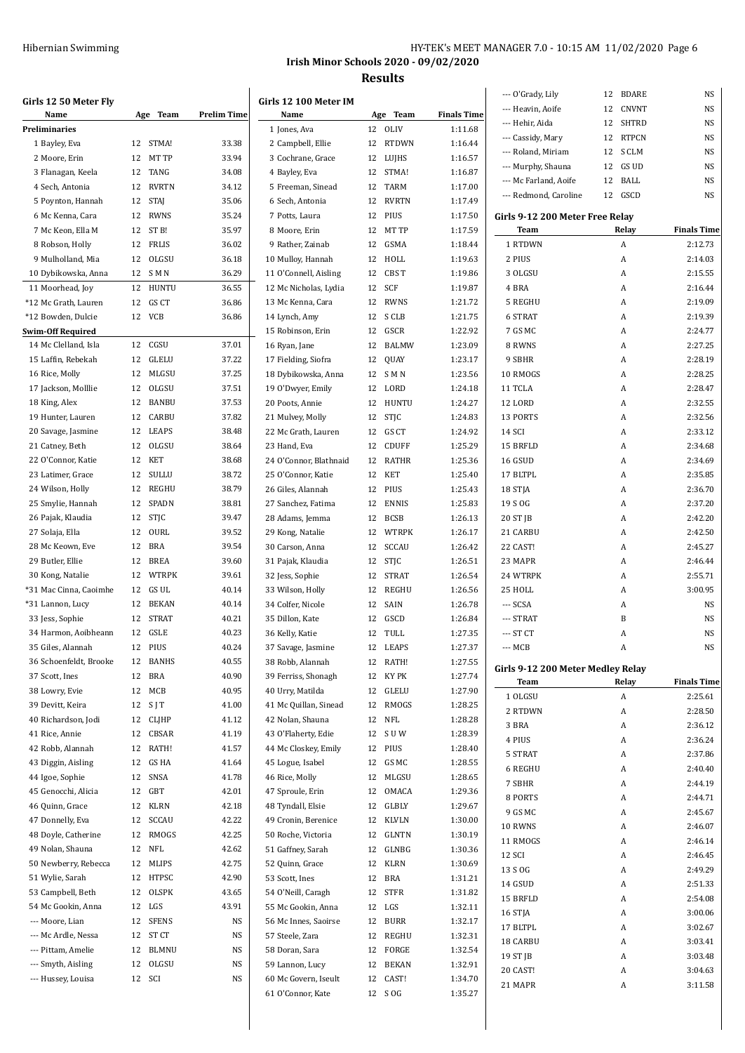|                                       | HY-TEK's MEET MANAGER 7.0 - 10:15 AM 11/02/2020 Page 6 |  |
|---------------------------------------|--------------------------------------------------------|--|
| Irish Minor Schools 2020 - 09/02/2020 |                                                        |  |
| <b>Results</b>                        |                                                        |  |

**Finals Time** 2:12.73  $2:14.03$ 2:15.55  $2:16.44$  $2:19.09$  $2:19.39$  $2:24.77$ 2:27.25  $2:28.19$ 2:28.25 2:28.47  $2.32.55$ 2:32.56  $2:33.12$  $2:34.68$ 2:34.69 2:35.85  $2.36.70$  $2:37.20$  $2:42.20$  $2:42.50$ 2:45.27  $2:46.44$  $2:55.71$  $3:00.95$ 

**Finals Time**  $2:25.61$  $2:28.50$  $2:36.12$ 2:36.24 2:37.86  $2:40.40$ 2:44.19 2:44.71  $2:45.67$ 

**Girls 12 50 Meter Fly Name Age Team Prelim Time Preliminaries** Bayley, Eva 12 STMA! 33.38 Moore, Erin 12 MT TP 33.94 Flanagan, Keela 12 TANG 34.08 Sech, Antonia 12 RVRTN 34.12 Poynton, Hannah 12 STAJ 35.06 Mc Kenna, Cara 12 RWNS 35.24 Mc Keon, Ella M 12 ST B! 35.97 Robson, Holly 12 FRLIS 36.02 Mulholland, Mia 12 OLGSU 36.18 Dybikowska, Anna 12 S M N 36.29 Moorhead, Joy 12 HUNTU 36.55 \*12 Mc Grath, Lauren 12 GS CT 36.86 \*12 Bowden, Dulcie 12 VCB 36.86 **Swim-Off Required** 14 Mc Clelland, Isla 12 CGSU 37.01 Laffin, Rebekah 12 GLELU 37.22 Rice, Molly 12 MLGSU 37.25 17 Jackson, Molllie 12 OLGSU 37.51 King, Alex 12 BANBU 37.53 Hunter, Lauren 12 CARBU 37.82 Savage, Jasmine 12 LEAPS 38.48 Catney, Beth 12 OLGSU 38.64 O'Connor, Katie 12 KET 38.68 23 Latimer, Grace  $12$  SULLU 38.72 Wilson, Holly 12 REGHU 38.79 Smylie, Hannah 12 SPADN 38.81 Pajak, Klaudia 12 STJC 39.47 Solaja, Ella 12 OURL 39.52 Mc Keown, Eve 12 BRA 39.54 Butler, Ellie 12 BREA 39.60 Kong, Natalie 12 WTRPK 39.61 \*31 Mac Cinna, Caoimhe 12 GS UL 40.14 \*31 Lannon, Lucy 12 BEKAN 40.14 Jess, Sophie 12 STRAT 40.21 34 Harmon, Aoibheann 12 GSLE 40.23 Giles, Alannah 12 PIUS 40.24 Schoenfeldt, Brooke 12 BANHS 40.55 Scott, Ines 12 BRA 40.90 Lowry, Evie 12 MCB 40.95 39 Devitt, Keira 12 S J T 41.00 40 Richardson, Jodi 12 CLJHP 41.12 Rice, Annie 12 CBSAR 41.19 Robb, Alannah 12 RATH! 41.57 Diggin, Aisling 12 GS HA 41.64 Igoe, Sophie 12 SNSA 41.78 Genocchi, Alicia 12 GBT 42.01 Quinn, Grace 12 KLRN 42.18 Donnelly, Eva 12 SCCAU 42.22 Doyle, Catherine 12 RMOGS 42.25 Nolan, Shauna 12 NFL 42.62 Newberry, Rebecca 12 MLIPS 42.75 Wylie, Sarah 12 HTPSC 42.90 Campbell, Beth 12 OLSPK 43.65 Mc Gookin, Anna 12 LGS 43.91 --- Moore, Lian 12 SFENS NS --- Mc Ardle, Nessa 12 ST CT NS --- Pittam, Amelie 12 BLMNU NS --- Smyth, Aisling 12 OLGSU NS --- Hussey, Louisa 12 SCI NS

|                        |                    |                    | --- O'Grady, Lily                 | BDARE<br>12 | NS                |
|------------------------|--------------------|--------------------|-----------------------------------|-------------|-------------------|
| Girls 12 100 Meter IM  |                    |                    | --- Heavin, Aoife                 | CNVNT<br>12 | NS                |
| Name                   | Age Team           | <b>Finals Time</b> | --- Hehir, Aida                   | 12<br>SHTRD | NS                |
| 1 Jones, Ava           | 12 OLIV            | 1:11.68            | --- Cassidy, Mary                 | RTPCN<br>12 | NS                |
| 2 Campbell, Ellie      | 12<br><b>RTDWN</b> | 1:16.44            | --- Roland, Miriam                | S CLM<br>12 | NS                |
| 3 Cochrane, Grace      | LUIHS<br>12        | 1:16.57            |                                   |             |                   |
| 4 Bayley, Eva          | 12<br>STMA!        | 1:16.87            | --- Murphy, Shauna                | GS UD<br>12 | NS                |
| 5 Freeman, Sinead      | <b>TARM</b><br>12  | 1:17.00            | --- Mc Farland, Aoife             | 12<br>BALL  | NS                |
| 6 Sech, Antonia        | <b>RVRTN</b><br>12 | 1:17.49            | --- Redmond, Caroline             | 12<br>GSCD  | NS                |
| 7 Potts, Laura         | PIUS<br>12         | 1:17.50            |                                   |             |                   |
|                        |                    |                    | Girls 9-12 200 Meter Free Relay   |             |                   |
| 8 Moore, Erin          | MT TP<br>12        | 1:17.59            | Team                              | Relay       | <b>Finals Tim</b> |
| 9 Rather, Zainab       | GSMA<br>12         | 1:18.44            | 1 RTDWN                           | A           | 2:12.73           |
| 10 Mulloy, Hannah      | HOLL<br>12         | 1:19.63            | 2 PIUS                            | A           | 2:14.03           |
| 11 O'Connell, Aisling  | 12<br>CBS T        | 1:19.86            | 3 OLGSU                           | A           | 2:15.55           |
| 12 Mc Nicholas, Lydia  | 12<br>SCF          | 1:19.87            | 4 BRA                             | A           | 2:16.44           |
| 13 Mc Kenna, Cara      | <b>RWNS</b><br>12  | 1:21.72            | 5 REGHU                           | A           | 2:19.09           |
| 14 Lynch, Amy          | S CLB<br>12        | 1:21.75            | 6 STRAT                           | A           | 2:19.39           |
| 15 Robinson, Erin      | GSCR<br>12         | 1:22.92            | 7 GS MC                           | A           | 2:24.77           |
| 16 Ryan, Jane          | 12<br>BALMW        | 1:23.09            | 8 RWNS                            | A           | 2:27.25           |
|                        |                    |                    |                                   |             |                   |
| 17 Fielding, Siofra    | 12 QUAY            | 1:23.17            | 9 SBHR                            | A           | 2:28.19           |
| 18 Dybikowska, Anna    | 12 SMN             | 1:23.56            | 10 RMOGS                          | A           | 2:28.25           |
| 19 O'Dwyer, Emily      | 12 LORD            | 1:24.18            | 11 TCLA                           | A           | 2:28.47           |
| 20 Poots, Annie        | 12 HUNTU           | 1:24.27            | 12 LORD                           | A           | 2:32.55           |
| 21 Mulvey, Molly       | STJC<br>12         | 1:24.83            | 13 PORTS                          | A           | 2:32.56           |
| 22 Mc Grath, Lauren    | 12 GS CT           | 1:24.92            | 14 SCI                            | A           | 2:33.12           |
| 23 Hand, Eva           | 12 CDUFF           | 1:25.29            | 15 BRFLD                          | A           | 2:34.68           |
| 24 O'Connor, Blathnaid | 12<br>RATHR        | 1:25.36            | 16 GSUD                           | A           | 2:34.69           |
| 25 O'Connor, Katie     | 12<br>KET          |                    | 17 BLTPL                          | A           |                   |
|                        |                    | 1:25.40            |                                   |             | 2:35.85           |
| 26 Giles, Alannah      | 12 PIUS            | 1:25.43            | 18 STJA                           | A           | 2:36.70           |
| 27 Sanchez, Fatima     | <b>ENNIS</b><br>12 | 1:25.83            | 19 S OG                           | A           | 2:37.20           |
| 28 Adams, Jemma        | <b>BCSB</b><br>12  | 1:26.13            | 20 ST JB                          | A           | 2:42.20           |
| 29 Kong, Natalie       | 12 WTRPK           | 1:26.17            | 21 CARBU                          | A           | 2:42.50           |
| 30 Carson, Anna        | 12<br>SCCAU        | 1:26.42            | 22 CAST!                          | A           | 2:45.27           |
| 31 Pajak, Klaudia      | STJC<br>12         | 1:26.51            | 23 MAPR                           | A           | 2:46.44           |
| 32 Jess, Sophie        | <b>STRAT</b><br>12 | 1:26.54            | 24 WTRPK                          | A           | 2:55.71           |
| 33 Wilson, Holly       | REGHU<br>12        | 1:26.56            | 25 HOLL                           | A           | 3:00.95           |
| 34 Colfer, Nicole      | SAIN<br>12         | 1:26.78            | --- SCSA                          | A           | NS                |
|                        |                    |                    |                                   |             |                   |
| 35 Dillon, Kate        | GSCD<br>12         | 1:26.84            | --- STRAT                         | B           | NS                |
| 36 Kelly, Katie        | TULL<br>12         | 1:27.35            | --- ST CT                         | A           | NS                |
| 37 Savage, Jasmine     | 12<br>LEAPS        | 1:27.37            | --- MCB                           | A           | NS                |
| 38 Robb, Alannah       | 12 RATH!           | 1:27.55            | Girls 9-12 200 Meter Medley Relay |             |                   |
| 39 Ferriss, Shonagh    | KY PK<br>12        | 1:27.74            | Team                              | Relay       | <b>Finals Tim</b> |
| 40 Urry, Matilda       | GLELU<br>12        | 1:27.90            |                                   |             |                   |
| 41 Mc Quillan, Sinead  | 12<br>RMOGS        | 1:28.25            | 1 OLGSU                           | A           | 2:25.61           |
| 42 Nolan, Shauna       | NFL<br>12          | 1:28.28            | 2 RTDWN                           | A           | 2:28.50           |
| 43 O'Flaherty, Edie    | 12<br>S U W        | 1:28.39            | 3 BRA                             | A           | 2:36.12           |
| 44 Mc Closkey, Emily   | PIUS               |                    | 4 PIUS                            | A           | 2:36.24           |
|                        | 12                 | 1:28.40            | 5 STRAT                           | A           | 2:37.86           |
| 45 Logue, Isabel       | GS MC<br>12        | 1:28.55            | 6 REGHU                           | A           | 2:40.40           |
| 46 Rice, Molly         | MLGSU<br>12        | 1:28.65            | 7 SBHR                            | A           | 2:44.19           |
| 47 Sproule, Erin       | OMACA<br>12        | 1:29.36            | 8 PORTS                           | A           | 2:44.71           |
| 48 Tyndall, Elsie      | GLBLY<br>12        | 1:29.67            | 9 GS MC                           | A           | 2:45.67           |
| 49 Cronin, Berenice    | KLVLN<br>12        | 1:30.00            |                                   |             |                   |
| 50 Roche, Victoria     | 12 GLNTN           | 1:30.19            | 10 RWNS                           | A           | 2:46.07           |
| 51 Gaffney, Sarah      | 12 GLNBG           | 1:30.36            | 11 RMOGS                          | A           | 2:46.14           |
| 52 Quinn, Grace        | <b>KLRN</b><br>12  | 1:30.69            | 12 SCI                            | A           | 2:46.45           |
|                        |                    |                    | 13 S OG                           | A           | 2:49.29           |
| 53 Scott, Ines         | 12 BRA             | 1:31.21            | 14 GSUD                           | A           | 2:51.33           |
| 54 O'Neill, Caragh     | <b>STFR</b><br>12  | 1:31.82            | 15 BRFLD                          | A           | 2:54.08           |
| 55 Mc Gookin, Anna     | LGS<br>12          | 1:32.11            | 16 STJA                           | A           | 3:00.06           |
| 56 Mc Innes, Saoirse   | BURR<br>12         | 1:32.17            | 17 BLTPL                          | A           | 3:02.67           |
| 57 Steele, Zara        | 12 REGHU           | 1:32.31            |                                   |             |                   |
| 58 Doran, Sara         | 12 FORGE           | 1:32.54            | 18 CARBU                          | A           | 3:03.41           |
| 59 Lannon, Lucy        | <b>BEKAN</b><br>12 | 1:32.91            | 19 ST JB                          | A           | 3:03.48           |
| 60 Mc Govern, Iseult   | 12<br>CAST!        | 1:34.70            | 20 CAST!                          | A           | 3:04.63           |
| 61 O'Connor, Kate      | 12 S OG            | 1:35.27            | 21 MAPR                           | A           | 3:11.58           |
|                        |                    |                    |                                   |             |                   |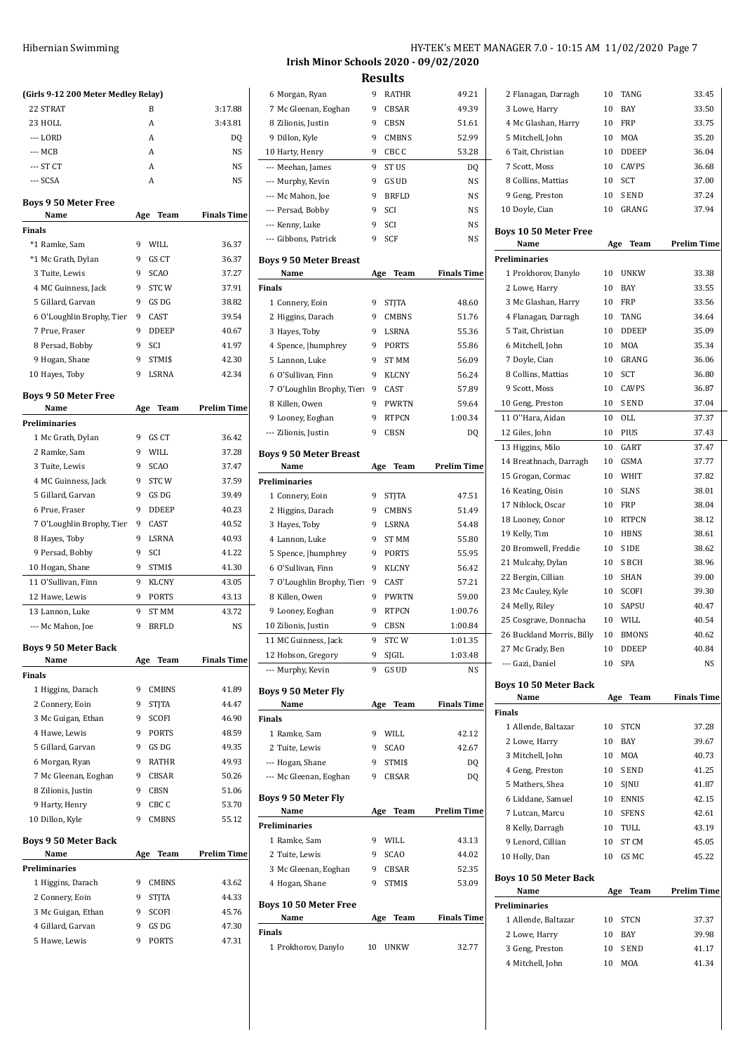| (Girls 9-12 200 Meter Medley Relay)   |     |                       |                    |
|---------------------------------------|-----|-----------------------|--------------------|
| 22 STRAT                              |     | B                     | 3:17.88            |
| 23 HOLL                               |     | A                     | 3:43.81            |
| --- LORD                              |     | A                     | DQ                 |
| --- MCB                               |     | A                     | NS                 |
| --- ST CT                             |     | A                     | NS                 |
| --- SCSA                              |     | A                     | NS                 |
| <b>Boys 9 50 Meter Free</b><br>Name   | Age | Team                  | <b>Finals Time</b> |
| Finals                                |     |                       |                    |
| *1 Ramke, Sam                         | 9   | WILL                  | 36.37              |
| *1 Mc Grath, Dylan                    | 9   | GS CT                 | 36.37              |
| 3 Tuite, Lewis                        | 9   | <b>SCAO</b>           | 37.27              |
| 4 MC Guinness, Jack                   | 9   | STC W                 | 37.91              |
| 5 Gillard, Garvan                     | 9   | GS DG                 | 38.82              |
| 6 O'Loughlin Brophy, Tier             | 9   | CAST                  | 39.54              |
| 7 Prue, Fraser                        | 9   | <b>DDEEP</b>          | 40.67              |
| 8 Persad, Bobby                       | 9   | SCI                   | 41.97              |
| 9 Hogan, Shane                        | 9   | STMI\$                | 42.30              |
| 10 Hayes, Toby                        | 9   | LSRNA                 | 42.34              |
|                                       |     |                       |                    |
| <b>Boys 9 50 Meter Free</b><br>Name   | Age | Team                  | <b>Prelim Time</b> |
| Preliminaries                         |     |                       |                    |
| 1 Mc Grath, Dylan                     | 9   | GS CT                 | 36.42              |
| 2 Ramke, Sam                          | 9   | WILL                  | 37.28              |
| 3 Tuite, Lewis                        | 9   | <b>SCAO</b>           | 37.47              |
| 4 MC Guinness, Jack                   | 9   | <b>STCW</b>           | 37.59              |
| 5 Gillard, Garvan                     | 9   | GS DG                 | 39.49              |
| 6 Prue, Fraser                        | 9   | DDEEP                 | 40.23              |
| 7 O'Loughlin Brophy, Tier             | 9   | CAST                  | 40.52              |
| 8 Hayes, Toby                         | 9   | LSRNA                 | 40.93              |
| 9 Persad, Bobby                       | 9   | SCI                   | 41.22              |
| 10 Hogan, Shane                       | 9   | STMI\$                | 41.30              |
| 11 O'Sullivan, Finn                   | 9   | <b>KLCNY</b>          | 43.05              |
| 12 Hawe, Lewis                        | 9   | PORTS                 | 43.13              |
| 13 Lannon, Luke                       | 9   | ST MM                 | 43.72              |
| --- Mc Mahon, Joe                     | 9   | <b>BRFLD</b>          | NS                 |
|                                       |     |                       |                    |
| <b>Boys 9 50 Meter Back</b>           |     |                       | <b>Finals Time</b> |
| Name<br><b>Finals</b>                 | Age | Team                  |                    |
| 1 Higgins, Darach                     | 9   | <b>CMBNS</b>          | 41.89              |
| 2 Connery, Eoin                       | 9   | <b>STJTA</b>          | 44.47              |
| 3 Mc Guigan, Ethan                    | 9   | SCOFI                 | 46.90              |
| 4 Hawe, Lewis                         | 9   | <b>PORTS</b>          | 48.59              |
| 5 Gillard, Garvan                     | 9   | GS DG                 | 49.35              |
| 6 Morgan, Ryan                        | 9   | <b>RATHR</b>          | 49.93              |
| 7 Mc Gleenan, Eoghan                  | 9   | CBSAR                 | 50.26              |
| 8 Zilionis, Justin                    | 9   | CBSN                  | 51.06              |
| 9 Harty, Henry                        | 9   | CBC <sub>C</sub>      | 53.70              |
| 10 Dillon, Kyle                       | 9   | <b>CMBNS</b>          | 55.12              |
|                                       |     |                       |                    |
| <b>Boys 9 50 Meter Back</b>           |     |                       |                    |
| Name                                  | Age | Team                  | <b>Prelim Time</b> |
| Preliminaries                         | 9   |                       |                    |
| 1 Higgins, Darach                     | 9   | CMBNS<br><b>STJTA</b> | 43.62<br>44.33     |
| 2 Connery, Eoin<br>3 Mc Guigan, Ethan | 9   | SCOFI                 | 45.76              |
| 4 Gillard, Garvan                     | 9   | GS DG                 | 47.30              |
| 5 Hawe, Lewis                         | 9   | <b>PORTS</b>          | 47.31              |
|                                       |     |                       |                    |
|                                       |     |                       |                    |

### Hibernian Swimming HY-TEK's MEET MANAGER 7.0 - 10:15 AM 11/02/2020 Page 7 **Irish Minor Schools 2020 - 09/02/2020**

**Results**

| 6 Morgan, Ryan                        | 9   | RATHR        | 49.21              |  |
|---------------------------------------|-----|--------------|--------------------|--|
| 7 Mc Gleenan, Eoghan                  | 9   | CBSAR        | 49.39              |  |
| 8 Zilionis, Justin                    | 9   | CBSN         | 51.61              |  |
| 9 Dillon, Kyle                        | 9   | <b>CMBNS</b> | 52.99              |  |
| 10 Harty, Henry                       | 9   | CBC C        | 53.28              |  |
| --- Meehan, James                     | 9   | ST US        | DQ                 |  |
| --- Murphy, Kevin                     | 9   | GS UD        | NS                 |  |
| --- Mc Mahon, Joe                     | 9   | <b>BRFLD</b> | NS                 |  |
| --- Persad, Bobby                     | 9   | SCI          | NS                 |  |
| --- Kenny, Luke                       | 9   | SCI          | NS                 |  |
| --- Gibbons, Patrick                  | 9   | <b>SCF</b>   | NS                 |  |
|                                       |     |              |                    |  |
| <b>Boys 9 50 Meter Breast</b><br>Name | Age | Team         | <b>Finals Time</b> |  |
| Finals                                |     |              |                    |  |
|                                       | 9   |              | 48.60              |  |
| 1 Connery, Eoin                       |     | STJTA        |                    |  |
| 2 Higgins, Darach                     | 9   | <b>CMBNS</b> | 51.76              |  |
| 3 Hayes, Toby                         | 9   | LSRNA        | 55.36              |  |
| 4 Spence,  humphrey                   | 9   | PORTS        | 55.86              |  |
| 5 Lannon, Luke                        | 9   | ST MM        | 56.09              |  |
| 6 O'Sullivan, Finn                    | 9   | <b>KLCNY</b> | 56.24              |  |
| 7 O'Loughlin Brophy, Tier             | 9   | CAST         | 57.89              |  |
| 8 Killen, Owen                        | 9   | <b>PWRTN</b> | 59.64              |  |
| 9 Looney, Eoghan                      | 9   | <b>RTPCN</b> | 1:00.34            |  |
| --- Zilionis, Justin                  | 9   | <b>CBSN</b>  | DQ                 |  |
| <b>Boys 9 50 Meter Breast</b>         |     |              |                    |  |
| Name                                  | Age | Team         | Prelim Time        |  |
| Preliminaries                         |     |              |                    |  |
| 1 Connery, Eoin                       | 9   | <b>STJTA</b> | 47.51              |  |
| 2 Higgins, Darach                     | 9   | <b>CMBNS</b> | 51.49              |  |
| 3 Hayes, Toby                         | 9   | LSRNA        | 54.48              |  |
| 4 Lannon, Luke                        | 9   | <b>ST MM</b> | 55.80              |  |
|                                       | 9   | PORTS        | 55.95              |  |
| 5 Spence,  humphrey                   | 9   |              |                    |  |
| 6 O'Sullivan, Finn                    |     | <b>KLCNY</b> | 56.42              |  |
| 7 O'Loughlin Brophy, Tier             | 9   | CAST         | 57.21              |  |
| 8 Killen, Owen                        | 9   | <b>PWRTN</b> | 59.00              |  |
| 9 Looney, Eoghan                      | 9   | <b>RTPCN</b> | 1:00.76            |  |
| 10 Zilionis, Justin                   | 9   | <b>CBSN</b>  | 1:00.84            |  |
| 11 MC Guinness, Jack                  | 9   | STCW         | 1:01.35            |  |
| 12 Hobson, Gregory                    | 9   | SJGIL        | 1:03.48            |  |
| --- Murphy, Kevin                     | 9   | GS UD        | NS                 |  |
| Boys 9 50 Meter Fly                   |     |              |                    |  |
| Name                                  | Age | Team         | <b>Finals Time</b> |  |
| Finals                                |     |              |                    |  |
| 1 Ramke, Sam                          | 9.  | WILL         | 42.12              |  |
| 2 Tuite, Lewis                        | 9   | <b>SCAO</b>  | 42.67              |  |
| --- Hogan, Shane                      | 9   | STMI\$       | DQ                 |  |
| --- Mc Gleenan, Eoghan                | 9.  | CBSAR        | DQ                 |  |
|                                       |     |              |                    |  |
| Boys 9 50 Meter Fly                   |     |              |                    |  |
| Name                                  | Age | Team         | Prelim Time        |  |
| Preliminaries                         |     |              |                    |  |
| 1 Ramke, Sam                          | 9   | WILL         | 43.13              |  |
| 2 Tuite, Lewis                        | 9   | <b>SCAO</b>  | 44.02              |  |
| 3 Mc Gleenan, Eoghan                  | 9.  | CBSAR        | 52.35              |  |
| 4 Hogan, Shane                        | 9.  | STMI\$       | 53.09              |  |
|                                       |     |              |                    |  |
| Boys 10 50 Meter Free<br>Name         |     | Team         | <b>Finals Time</b> |  |
| Finals                                | Age |              |                    |  |
| 1 Prokhorov, Danylo                   |     | 10 UNKW      | 32.77              |  |
|                                       |     |              |                    |  |

| 2 Flanagan, Darragh                 | 10       | TANG         | 33.45              |
|-------------------------------------|----------|--------------|--------------------|
| 3 Lowe, Harry                       | 10       | BAY          | 33.50              |
| 4 Mc Glashan, Harry                 | 10       | FRP          | 33.75              |
| 5 Mitchell, John                    | 10       | MOA          | 35.20              |
| 6 Tait, Christian                   | 10       | <b>DDEEP</b> | 36.04              |
| 7 Scott, Moss                       | 10       | CAVPS        | 36.68              |
| 8 Collins, Mattias                  | 10       | SCT          | 37.00              |
| 9 Geng, Preston                     | 10       | S END        | 37.24              |
| 10 Doyle, Cian                      | 10       | GRANG        | 37.94              |
| <b>Boys 10 50 Meter Free</b>        |          |              |                    |
| Name                                | Age      | Team         | <b>Prelim Time</b> |
| <b>Preliminaries</b>                |          |              |                    |
| 1 Prokhorov, Danylo                 | 10       | <b>UNKW</b>  | 33.38              |
| 2 Lowe, Harry                       | 10       | BAY          | 33.55              |
| 3 Mc Glashan, Harry                 | 10       | FRP          | 33.56              |
| 4 Flanagan, Darragh                 | 10       | TANG         | 34.64              |
| 5 Tait, Christian                   | 10       | <b>DDEEP</b> | 35.09              |
| 6 Mitchell, John                    | 10       | MOA          | 35.34              |
| 7 Doyle, Cian                       | 10       | <b>GRANG</b> | 36.06              |
| 8 Collins, Mattias                  | 10       | SCT          | 36.80              |
| 9 Scott, Moss                       | 10       | CAVPS        | 36.87              |
| 10 Geng, Preston                    | 10       | S END        | 37.04              |
| 11 O"Hara, Aidan                    | 10       | OLL          | 37.37              |
| 12 Giles, John                      | 10       | PIUS         | 37.43              |
| 13 Higgins, Milo                    | 10       | GART         | 37.47              |
| 14 Breathnach, Darragh              | 10       | GSMA         | 37.77              |
| 15 Grogan, Cormac                   | 10       | WHIT         | 37.82              |
| 16 Keating, Oisin                   | 10       | SLNS         | 38.01              |
| 17 Niblock, Oscar                   | 10       | FRP          | 38.04              |
| 18 Looney, Conor                    | 10       | RTPCN        | 38.12              |
| 19 Kelly, Tim                       | 10       | HBNS         | 38.61              |
|                                     |          |              |                    |
|                                     |          |              |                    |
| 20 Bromwell, Freddie                | 10       | S IDE        | 38.62              |
| 21 Mulcahy, Dylan                   | 10       | S BCH        | 38.96              |
| 22 Bergin, Cillian                  | 10       | SHAN         | 39.00              |
| 23 Mc Cauley, Kyle                  | 10       | SCOFI        | 39.30              |
| 24 Melly, Riley                     | 10       | SAPSU        | 40.47              |
| 25 Cosgrave, Donnacha               | 10       | WILL         | 40.54              |
| 26 Buckland Morris, Billy           | 10       | <b>BMONS</b> | 40.62              |
| 27 Mc Grady, Ben                    | 10       | DDEEP        | 40.84              |
| --- Gazi, Daniel                    | 10       | SPA          | NS                 |
| <b>Boys 10 50 Meter Back</b>        |          |              |                    |
| Name                                | Age      | Team         | <b>Finals Time</b> |
| <b>Finals</b>                       |          |              |                    |
| 1 Allende, Baltazar                 | 10       | <b>STCN</b>  | 37.28              |
| 2 Lowe, Harry                       | 10       | <b>BAY</b>   | 39.67              |
| 3 Mitchell, John                    | 10       | MOA          | 40.73              |
| 4 Geng, Preston                     | 10       | S END        | 41.25              |
| 5 Mathers, Shea                     | 10       | SJNU         | 41.87              |
| 6 Liddane, Samuel                   |          | 10 ENNIS     | 42.15              |
| 7 Lutcan, Marcu                     | 10       | <b>SFENS</b> | 42.61              |
| 8 Kelly, Darragh                    | 10       | TULL         | 43.19              |
| 9 Lenord, Cillian                   | 10       | ST CM        | 45.05              |
| 10 Holly, Dan                       | 10       | GS MC        | 45.22              |
| <b>Boys 10 50 Meter Back</b>        |          |              |                    |
| Name                                | Age      | Team         | <b>Prelim Time</b> |
| <b>Preliminaries</b>                |          |              |                    |
| 1 Allende, Baltazar                 | 10       | <b>STCN</b>  | 37.37              |
| 2 Lowe, Harry                       | 10       | <b>BAY</b>   | 39.98              |
| 3 Geng, Preston<br>4 Mitchell, John | 10<br>10 | S END<br>MOA | 41.17<br>41.34     |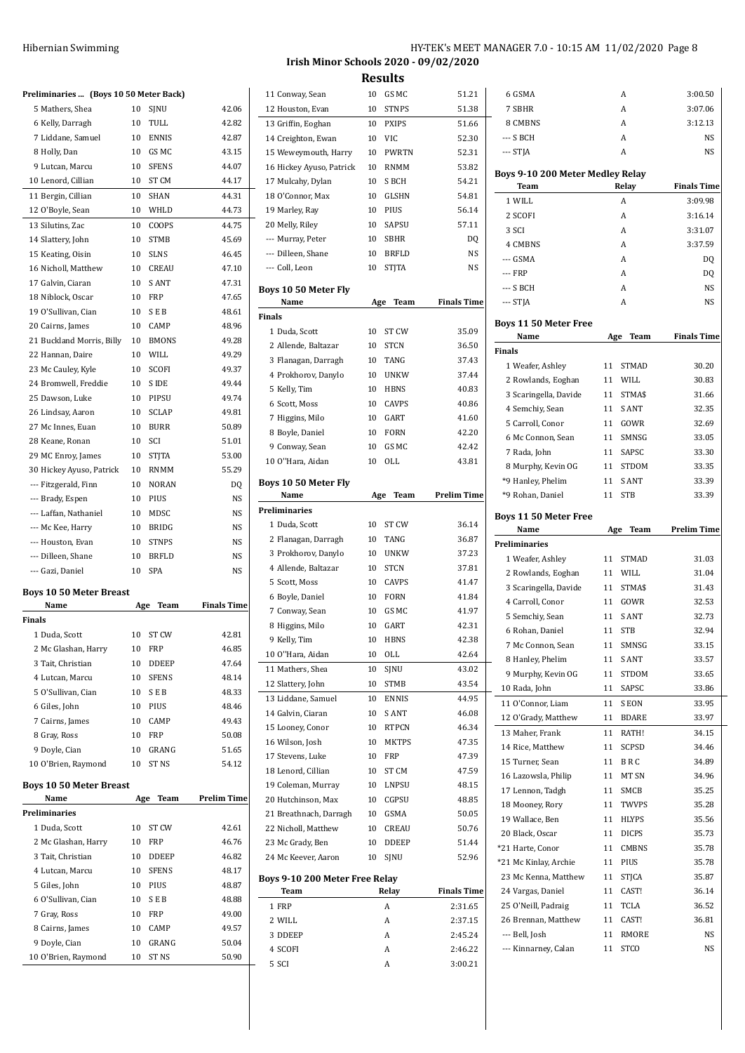| Hibernian Swimming | HY-TEK's MEET MANAGER 7.0 - 10:15 AM 11/02/2020 Page 8 |
|--------------------|--------------------------------------------------------|
|                    | Irish Minor Schools 2020 - 09/02/2020                  |

|                                       | Preliminaries  (Boys 10 50 Meter Back)                                                                               |                                                                                                                                                                                                                                |
|---------------------------------------|----------------------------------------------------------------------------------------------------------------------|--------------------------------------------------------------------------------------------------------------------------------------------------------------------------------------------------------------------------------|
| 10                                    | SJNU                                                                                                                 | 42.06                                                                                                                                                                                                                          |
| 10                                    | TULL                                                                                                                 | 42.82                                                                                                                                                                                                                          |
| 10                                    | <b>ENNIS</b>                                                                                                         | 42.87                                                                                                                                                                                                                          |
| 10                                    | GS MC                                                                                                                | 43.15                                                                                                                                                                                                                          |
| 10                                    | <b>SFENS</b>                                                                                                         | 44.07                                                                                                                                                                                                                          |
| 10                                    | ST CM                                                                                                                | 44.17                                                                                                                                                                                                                          |
| 10                                    | SHAN                                                                                                                 | 44.31                                                                                                                                                                                                                          |
| 10                                    | WHLD                                                                                                                 | 44.73                                                                                                                                                                                                                          |
|                                       | COOPS                                                                                                                | 44.75                                                                                                                                                                                                                          |
| 10                                    | <b>STMB</b>                                                                                                          | 45.69                                                                                                                                                                                                                          |
|                                       |                                                                                                                      | 46.45                                                                                                                                                                                                                          |
| 10                                    |                                                                                                                      | 47.10                                                                                                                                                                                                                          |
|                                       |                                                                                                                      | 47.31                                                                                                                                                                                                                          |
|                                       |                                                                                                                      | 47.65                                                                                                                                                                                                                          |
|                                       |                                                                                                                      | 48.61                                                                                                                                                                                                                          |
|                                       |                                                                                                                      | 48.96                                                                                                                                                                                                                          |
|                                       |                                                                                                                      | 49.28                                                                                                                                                                                                                          |
|                                       |                                                                                                                      | 49.29                                                                                                                                                                                                                          |
|                                       |                                                                                                                      | 49.37                                                                                                                                                                                                                          |
|                                       |                                                                                                                      | 49.44                                                                                                                                                                                                                          |
|                                       |                                                                                                                      | 49.74                                                                                                                                                                                                                          |
|                                       |                                                                                                                      | 49.81                                                                                                                                                                                                                          |
|                                       |                                                                                                                      | 50.89                                                                                                                                                                                                                          |
|                                       |                                                                                                                      | 51.01                                                                                                                                                                                                                          |
|                                       |                                                                                                                      | 53.00                                                                                                                                                                                                                          |
|                                       |                                                                                                                      | 55.29                                                                                                                                                                                                                          |
|                                       |                                                                                                                      | DQ                                                                                                                                                                                                                             |
|                                       |                                                                                                                      | NS                                                                                                                                                                                                                             |
|                                       |                                                                                                                      | NS                                                                                                                                                                                                                             |
|                                       |                                                                                                                      | NS                                                                                                                                                                                                                             |
|                                       |                                                                                                                      | NS                                                                                                                                                                                                                             |
|                                       |                                                                                                                      |                                                                                                                                                                                                                                |
|                                       |                                                                                                                      |                                                                                                                                                                                                                                |
| 10                                    | <b>BRFLD</b>                                                                                                         | NS                                                                                                                                                                                                                             |
| 10                                    | <b>SPA</b>                                                                                                           | NS                                                                                                                                                                                                                             |
| <b>Boys 10 50 Meter Breast</b><br>Age | Team                                                                                                                 | <b>Finals Time</b>                                                                                                                                                                                                             |
|                                       |                                                                                                                      |                                                                                                                                                                                                                                |
| 10                                    | ST CW                                                                                                                | 42.81                                                                                                                                                                                                                          |
|                                       |                                                                                                                      | 46.85                                                                                                                                                                                                                          |
| 10<br>10                              | FRP<br>DDEEP                                                                                                         | 47.64                                                                                                                                                                                                                          |
| 10                                    | <b>SFENS</b>                                                                                                         | 48.14                                                                                                                                                                                                                          |
| 10                                    |                                                                                                                      | 48.33                                                                                                                                                                                                                          |
|                                       | <b>SEB</b>                                                                                                           |                                                                                                                                                                                                                                |
| 10                                    | PIUS                                                                                                                 | 48.46                                                                                                                                                                                                                          |
| 10                                    | CAMP                                                                                                                 | 49.43                                                                                                                                                                                                                          |
| 10                                    | FRP                                                                                                                  | 50.08                                                                                                                                                                                                                          |
| 10<br>10                              | GRANG<br><b>ST NS</b>                                                                                                | 51.65<br>54.12                                                                                                                                                                                                                 |
|                                       |                                                                                                                      |                                                                                                                                                                                                                                |
| <b>Boys 10 50 Meter Breast</b><br>Age | Team                                                                                                                 | <b>Prelim Time</b>                                                                                                                                                                                                             |
|                                       |                                                                                                                      |                                                                                                                                                                                                                                |
| 10                                    | ST CW                                                                                                                | 42.61                                                                                                                                                                                                                          |
| 10                                    | FRP                                                                                                                  | 46.76                                                                                                                                                                                                                          |
| 10                                    | DDEEP                                                                                                                | 46.82                                                                                                                                                                                                                          |
| 10                                    | SFENS                                                                                                                | 48.17                                                                                                                                                                                                                          |
| 10                                    | PIUS                                                                                                                 | 48.87                                                                                                                                                                                                                          |
| 10                                    | SEB                                                                                                                  | 48.88                                                                                                                                                                                                                          |
| 10                                    | FRP                                                                                                                  | 49.00                                                                                                                                                                                                                          |
| 10                                    | CAMP                                                                                                                 | 49.57                                                                                                                                                                                                                          |
| 10                                    | GRANG                                                                                                                | 50.04                                                                                                                                                                                                                          |
|                                       | 10<br>10<br>10<br>10<br>10<br>10<br>10<br>10<br>10<br>10<br>10<br>10<br>10<br>10<br>10<br>10<br>10<br>10<br>10<br>10 | 10<br><b>SLNS</b><br>CREAU<br>S ANT<br>FRP<br>S E B<br>CAMP<br><b>BMONS</b><br>WILL<br>SCOFI<br>S IDE<br>PIPSU<br><b>SCLAP</b><br><b>BURR</b><br>SCI<br>STJTA<br>RNMM<br><b>NORAN</b><br>PIUS<br>MDSC<br>BRIDG<br><b>STNPS</b> |

| 11 Conway, Sean                | 10  | GS MC        | 51.21              |
|--------------------------------|-----|--------------|--------------------|
| 12 Houston, Evan               | 10  | STNPS        | 51.38              |
| 13 Griffin, Eoghan             | 10  | <b>PXIPS</b> | 51.66              |
| 14 Creighton, Ewan             | 10  | VIC          | 52.30              |
| 15 Weweymouth, Harry           | 10  | <b>PWRTN</b> | 52.31              |
| 16 Hickey Ayuso, Patrick       | 10  | <b>RNMM</b>  | 53.82              |
| 17 Mulcahy, Dylan              | 10  | S BCH        | 54.21              |
| 18 O'Connor, Max               | 10  | GLSHN        | 54.81              |
| 19 Marley, Ray                 | 10  | PIUS         | 56.14              |
| 20 Melly, Riley                | 10  | SAPSU        | 57.11              |
| --- Murray, Peter              | 10  | SBHR         | DQ                 |
| --- Dilleen, Shane             | 10  | <b>BRFLD</b> | NS                 |
| --- Coll, Leon                 | 10  | <b>STJTA</b> | NS                 |
|                                |     |              |                    |
| Boys 10 50 Meter Fly           |     |              |                    |
| Name                           | Age | Team         | <b>Finals Time</b> |
| <b>Finals</b>                  |     |              |                    |
| 1 Duda, Scott                  | 10  | ST CW        | 35.09              |
| 2 Allende, Baltazar            | 10  | STCN         | 36.50              |
| 3 Flanagan, Darragh            | 10  | <b>TANG</b>  | 37.43              |
| 4 Prokhorov, Danylo            | 10  | <b>UNKW</b>  | 37.44              |
| 5 Kelly, Tim                   | 10  | <b>HBNS</b>  | 40.83              |
| 6 Scott, Moss                  | 10  | <b>CAVPS</b> | 40.86              |
| 7 Higgins, Milo                | 10  | GART         | 41.60              |
| 8 Boyle, Daniel                | 10  | FORN         | 42.20              |
| 9 Conway, Sean                 | 10  | GS MC        | 42.42              |
| 10 O"Hara, Aidan               | 10  | OLL          | 43.81              |
| Boys 10 50 Meter Fly           |     |              |                    |
| Name                           | Age | Team         | <b>Prelim Time</b> |
| Preliminaries                  |     |              |                    |
| 1 Duda, Scott                  | 10  | ST CW        | 36.14              |
| 2 Flanagan, Darragh            | 10  | TANG         | 36.87              |
| 3 Prokhorov, Danylo            | 10  | <b>UNKW</b>  | 37.23              |
| 4 Allende, Baltazar            | 10  | <b>STCN</b>  | 37.81              |
| 5 Scott, Moss                  | 10  | <b>CAVPS</b> | 41.47              |
| 6 Boyle, Daniel                | 10  | <b>FORN</b>  | 41.84              |
| 7 Conway, Sean                 | 10  | GS MC        | 41.97              |
| 8 Higgins, Milo                | 10  | <b>GART</b>  | 42.31              |
| 9 Kelly, Tim                   | 10  | <b>HBNS</b>  | 42.38              |
| 10 O"Hara, Aidan               | 10  | 0LL          | 42.64              |
| 11 Mathers, Shea               | 10  | SJNU         | 43.02              |
| 12 Slattery, John              | 10  | <b>STMB</b>  | 43.54              |
| 13 Liddane, Samuel             | 10  | <b>ENNIS</b> | 44.95              |
| 14 Galvin, Ciaran              | 10  | S ANT        | 46.08              |
| 15 Looney, Conor               | 10  | <b>RTPCN</b> | 46.34              |
| 16 Wilson, Josh                | 10  | <b>MKTPS</b> | 47.35              |
| 17 Stevens, Luke               | 10  | FRP          | 47.39              |
| 18 Lenord, Cillian             | 10  | ST CM        | 47.59              |
| 19 Coleman, Murray             | 10  | LNPSU        | 48.15              |
| 20 Hutchinson, Max             | 10  | CGPSU        | 48.85              |
| 21 Breathnach, Darragh         | 10  | GSMA         | 50.05              |
| 22 Nicholl, Matthew            | 10  | CREAU        | 50.76              |
| 23 Mc Grady, Ben               | 10  | DDEEP        | 51.44              |
| 24 Mc Keever, Aaron            | 10  | SJNU         | 52.96              |
|                                |     |              |                    |
| Boys 9-10 200 Meter Free Relay |     |              |                    |
| Team                           |     | Relay        | <b>Finals Time</b> |
| 1 FRP                          |     | A            | 2:31.65            |
| 2 WILL                         |     | Α            | 2:37.15            |
| 3 DDEEP                        |     | A            | 2:45.24            |
| 4 SCOFI                        |     |              |                    |
|                                |     | A            | 2:46.22            |
| 5 SCI                          |     | Α            | 3:00.21            |

| 6 GSMA                           | A                  | 3:00.50            |
|----------------------------------|--------------------|--------------------|
| 7 SBHR                           | Α                  | 3:07.06            |
| 8 CMBNS                          | A                  | 3:12.13            |
| --- S BCH                        | A                  | NS                 |
| --- STJA                         | Α                  | <b>NS</b>          |
|                                  |                    |                    |
| Boys 9-10 200 Meter Medley Relay |                    |                    |
| Team                             | Relay              | <b>Finals Time</b> |
| 1 WILL                           | A                  | 3:09.98            |
| 2 SCOFI                          | Α                  | 3:16.14            |
| 3 SCI                            | Α                  | 3:31.07            |
| 4 CMBNS                          | A                  | 3:37.59            |
| $-$ GSMA                         | A                  | DQ                 |
| --- FRP                          | A                  | DQ                 |
| --- S BCH                        | A                  | NS                 |
| --- STJA                         | Α                  | <b>NS</b>          |
| <b>Boys 11 50 Meter Free</b>     |                    |                    |
| Name                             | Age<br><b>Team</b> | <b>Finals Time</b> |
| <b>Finals</b>                    |                    |                    |
| 1 Weafer, Ashley                 | 11<br><b>STMAD</b> | 30.20              |
| 2 Rowlands, Eoghan               | 11<br>WILL         | 30.83              |
| 3 Scaringella, Davide            | STMA\$<br>11       | 31.66              |
| 4 Semchiy, Sean                  | S ANT<br>11        | 32.35              |
| 5 Carroll, Conor                 | GOWR<br>11         | 32.69              |
| 6 Mc Connon, Sean                | SMNSG<br>11        | 33.05              |
| 7 Rada, John                     | 11<br>SAPSC        | 33.30              |
| 8 Murphy, Kevin OG               | 11<br><b>STDOM</b> | 33.35              |
| *9 Hanley, Phelim                | <b>SANT</b><br>11  | 33.39              |
| *9 Rohan, Daniel                 | <b>STB</b><br>11   | 33.39              |
|                                  |                    |                    |
| <b>Boys 11 50 Meter Free</b>     |                    |                    |
| Name                             | Team               |                    |
|                                  | Age                | Prelim Time        |
| Preliminaries                    |                    |                    |
| 1 Weafer, Ashley                 | <b>STMAD</b><br>11 | 31.03              |
| 2 Rowlands, Eoghan               | WILL<br>11         | 31.04              |
| 3 Scaringella, Davide            | STMA\$<br>11       | 31.43              |
| 4 Carroll, Conor                 | GOWR<br>11         | 32.53              |
| 5 Semchiy, Sean                  | S ANT<br>11        | 32.73              |
| 6 Rohan, Daniel                  | <b>STB</b><br>11   | 32.94              |
| 7 Mc Connon, Sean                | SMNSG<br>11        | 33.15              |
| 8 Hanley, Phelim                 | 11<br>S ANT        | 33.57              |
| 9 Murphy, Kevin OG               | STDOM<br>11        | 33.65              |
| 10 Rada, John                    | SAPSC<br>11        | 33.86              |
| 11 O'Connor, Liam                | 11<br>S EON        | 33.95              |
| 12 O'Grady, Matthew              | 11<br><b>BDARE</b> | 33.97              |
| 13 Maher, Frank                  | 11<br>RATH!        | 34.15              |
| 14 Rice, Matthew                 | SCPSD<br>11        | 34.46              |
| 15 Turner, Sean                  | BRC<br>11          | 34.89              |
| 16 Lazowsla, Philip              | MT SN<br>11        | 34.96              |
| 17 Lennon, Tadgh                 | SMCB<br>11         | 35.25              |
| 18 Mooney, Rory                  | TWVPS<br>11        | 35.28              |
| 19 Wallace, Ben                  | 11<br>HLYPS        | 35.56              |
| 20 Black, Oscar                  | <b>DICPS</b><br>11 | 35.73              |
| *21 Harte, Conor                 | CMBNS<br>11        | 35.78              |
| *21 Mc Kinlay, Archie            | PIUS<br>11         | 35.78              |
| 23 Mc Kenna, Matthew             | STJCA<br>11        | 35.87              |
| 24 Vargas, Daniel                | CAST!<br>11        | 36.14              |
| 25 O'Neill, Padraig              | TCLA<br>11         | 36.52              |
| 26 Brennan, Matthew              | CAST!<br>11        | 36.81              |
| --- Bell, Josh                   | 11<br>RMORE        | NS                 |
| --- Kinnarney, Calan             | STCO<br>11         | NS                 |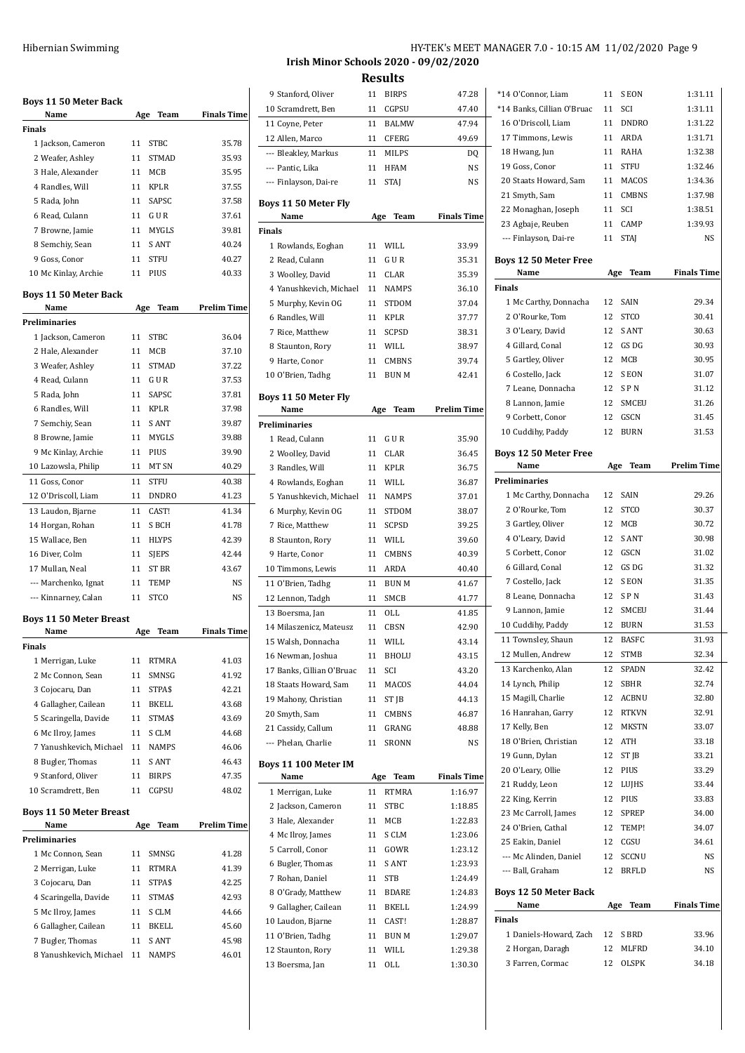| <b>Boys 11 50 Meter Back</b><br>Name                      | Age      | Team                  | <b>Finals Time</b>          |
|-----------------------------------------------------------|----------|-----------------------|-----------------------------|
| Finals                                                    |          |                       |                             |
| 1 Jackson, Cameron                                        | 11       | <b>STBC</b>           | 35.78                       |
| 2 Weafer, Ashley                                          | 11       | <b>STMAD</b>          | 35.93                       |
| 3 Hale, Alexander                                         | 11       | MCB                   | 35.95                       |
| 4 Randles, Will                                           | 11       | <b>KPLR</b>           | 37.55                       |
| 5 Rada, John                                              | 11       | SAPSC                 | 37.58                       |
| 6 Read, Culann                                            | 11       | G U R                 | 37.61                       |
| 7 Browne, Jamie                                           | 11       | MYGLS                 | 39.81                       |
| 8 Semchiy, Sean                                           | 11       | <b>SANT</b>           | 40.24                       |
| 9 Goss, Conor                                             | 11       | <b>STFU</b>           | 40.27                       |
|                                                           | 11       | PIUS                  | 40.33                       |
| 10 Mc Kinlay, Archie                                      |          |                       |                             |
| Boys 11 50 Meter Back<br>Name                             | Age      | Team                  | <b>Prelim Time</b>          |
| Preliminaries                                             |          |                       |                             |
| 1 Jackson, Cameron                                        | 11       | <b>STBC</b>           | 36.04                       |
| 2 Hale, Alexander                                         | 11       | MCB                   | 37.10                       |
| 3 Weafer, Ashley                                          | 11       | <b>STMAD</b>          | 37.22                       |
| 4 Read, Culann                                            | 11       | G U R                 | 37.53                       |
|                                                           |          | <b>SAPSC</b>          |                             |
| 5 Rada, John                                              | 11       |                       | 37.81                       |
| 6 Randles, Will                                           | 11       | KPLR                  | 37.98                       |
| 7 Semchiy, Sean                                           | 11       | S ANT                 | 39.87                       |
| 8 Browne, Jamie                                           | 11       | <b>MYGLS</b>          | 39.88                       |
| 9 Mc Kinlay, Archie                                       | 11       | PIUS                  | 39.90                       |
| 10 Lazowsla, Philip                                       | 11       | MT SN                 | 40.29                       |
| 11 Goss, Conor                                            | 11       | STFU                  | 40.38                       |
| 12 O'Driscoll, Liam                                       | 11       | <b>DNDRO</b>          | 41.23                       |
| 13 Laudon, Bjarne                                         | 11       | CAST!                 | 41.34                       |
| 14 Horgan, Rohan                                          | 11       | S BCH                 | 41.78                       |
| 15 Wallace, Ben                                           | 11       | <b>HLYPS</b>          | 42.39                       |
| 16 Diver, Colm                                            | 11       | SJEPS                 | 42.44                       |
| 17 Mullan, Neal                                           | 11       | ST BR                 | 43.67                       |
| --- Marchenko, Ignat                                      | 11       | <b>TEMP</b>           | NS                          |
| --- Kinnarney, Calan                                      | 11       | <b>STCO</b>           | N <sub>S</sub>              |
| <b>Boys 11 50 Meter Breast</b>                            |          |                       |                             |
| Name                                                      | Age      | Team                  | <b>Finals Time</b>          |
|                                                           |          |                       |                             |
|                                                           |          |                       |                             |
| 1 Merrigan, Luke                                          | 11       | RTMRA                 | 41.03                       |
| 2 Mc Connon, Sean                                         | 11       | SMNSG                 | 41.92                       |
|                                                           | 11       | STPA\$                | 42.21                       |
| 3 Cojocaru, Dan                                           | 11       | <b>BKELL</b>          | 43.68                       |
| 4 Gallagher, Cailean                                      |          |                       |                             |
| 5 Scaringella, Davide                                     | 11       | STMA\$                | 43.69                       |
| 6 Mc Ilroy, James                                         | 11       | S CLM                 | 44.68                       |
| 7 Yanushkevich, Michael                                   | 11       | <b>NAMPS</b>          | 46.06                       |
| 8 Bugler, Thomas                                          | 11       | S ANT                 | 46.43                       |
| 9 Stanford, Oliver                                        | 11<br>11 | <b>BIRPS</b>          | 47.35<br>48.02              |
| 10 Scramdrett, Ben                                        |          | CGPSU                 |                             |
| Name                                                      | Age      | Team                  |                             |
|                                                           |          |                       |                             |
| 1 Mc Connon, Sean                                         | 11       | SMNSG                 | 41.28                       |
| 2 Merrigan, Luke                                          | 11       | <b>RTMRA</b>          | 41.39                       |
| 3 Cojocaru, Dan                                           | 11       | STPA\$                | 42.25                       |
| 4 Scaringella, Davide                                     | 11       | STMA\$                | <b>Prelim Time</b><br>42.93 |
| Finals<br><b>Boys 11 50 Meter Breast</b><br>Preliminaries | 11       | S CLM                 | 44.66                       |
| 5 Mc Ilroy, James                                         |          |                       |                             |
| 6 Gallagher, Cailean                                      | 11       | BKELL                 | 45.60                       |
| 7 Bugler, Thomas<br>8 Yanushkevich, Michael               | 11<br>11 | S ANT<br><b>NAMPS</b> | 45.98<br>46.01              |

# Hibernian Swimming **HY-TEK's MEET MANAGER 7.0 - 10:15 AM 11/02/2020** Page 9 **Irish Minor Schools 2020 - 09/02/2020**

**Results** 9 Stanford, Oliver 11 BIRPS 47.28 Scramdrett, Ben 11 CGPSU 47.40 Coyne, Peter 11 BALMW 47.94 Allen, Marco 11 CFERG 49.69 --- Bleakley, Markus 11 MILPS DQ --- Pantic, Lika 11 HFAM NS --- Finlayson, Dai-re 11 STAJ NS **Boys 11 50 Meter Fly Name Age Team Finals Time Finals** Rowlands, Eoghan 11 WILL 33.99 2 Read, Culann 11 G U R 35.31 Woolley, David 11 CLAR 35.39 Yanushkevich, Michael 11 NAMPS 36.10 Murphy, Kevin OG 11 STDOM 37.04 Randles, Will 11 KPLR 37.77 Rice, Matthew 11 SCPSD 38.31 Staunton, Rory 11 WILL 38.97 Harte, Conor 11 CMBNS 39.74 O'Brien, Tadhg 11 BUN M 42.41 **Boys 11 50 Meter Fly Name Age Team Prelim Time Preliminaries** 1 Read, Culann 11 G U R 35.90 2 Woolley, David 11 CLAR 36.45 Randles, Will 11 KPLR 36.75 Rowlands, Eoghan 11 WILL 36.87 Yanushkevich, Michael 11 NAMPS 37.01 Murphy, Kevin OG 11 STDOM 38.07 Rice, Matthew 11 SCPSD 39.25 8 Staunton, Rory 11 WILL 39.60 Harte, Conor 11 CMBNS 40.39 Timmons, Lewis 11 ARDA 40.40 11 O'Brien, Tadhg 11 BUN M 41.67 12 Lennon, Tadgh 11 SMCB 41.77 13 Boersma, Jan 11 OLL 41.85 Milaszenicz, Mateusz 11 CBSN 42.90 Walsh, Donnacha 11 WILL 43.14 Newman, Joshua 11 BHOLU 43.15 Banks, Cillian O'Bruac 11 SCI 43.20 Staats Howard, Sam 11 MACOS 44.04 19 Mahony, Christian 11 ST JB 44.13 20 Smyth, Sam 11 CMBNS 46.87 21 Cassidy, Callum 11 GRANG 48.88 --- Phelan, Charlie 11 SRONN NS **Boys 11 100 Meter IM Name Age Team Finals Time** Merrigan, Luke 11 RTMRA 1:16.97 2 Jackson, Cameron 11 STBC 1:18.85 Hale, Alexander 11 MCB 1:22.83 4 Mc Ilroy, James 11 S CLM 1:23.06 Carroll, Conor 11 GOWR 1:23.12 Bugler, Thomas 11 S ANT 1:23.93 Rohan, Daniel 11 STB 1:24.49 8 O'Grady, Matthew 11 BDARE 1:24.83 9 Gallagher, Cailean 11 BKELL 1:24.99 Laudon, Bjarne 11 CAST! 1:28.87 11 O'Brien, Tadhg 11 BUN M 1:29.07 Staunton, Rory 11 WILL 1:29.38 13 Boersma, Jan 11 OLL 1:30.30

| *14 O'Connor, Liam            |     |              |                    |
|-------------------------------|-----|--------------|--------------------|
|                               | 11  | S EON        | 1:31.11            |
| *14 Banks, Cillian O'Bruac    | 11  | SCI          | 1:31.11            |
| 16 O'Driscoll, Liam           | 11  | <b>DNDRO</b> | 1:31.22            |
| 17 Timmons, Lewis             | 11  | ARDA         | 1:31.71            |
| 18 Hwang, Jun                 | 11  | RAHA         | 1:32.38            |
| 19 Goss, Conor                | 11  | <b>STFU</b>  | 1:32.46            |
| 20 Staats Howard, Sam         | 11  | MACOS        | 1:34.36            |
| 21 Smyth, Sam                 | 11  | <b>CMBNS</b> | 1:37.98            |
| 22 Monaghan, Joseph           | 11  | SCI          | 1:38.51            |
| 23 Agbaje, Reuben             | 11  | CAMP         | 1:39.93            |
| --- Finlayson, Dai-re         | 11  | <b>STAJ</b>  | NS                 |
|                               |     |              |                    |
| <b>Boys 12 50 Meter Free</b>  |     |              |                    |
| Name<br><b>Finals</b>         | Age | Team         | <b>Finals Time</b> |
|                               |     |              |                    |
| 1 Mc Carthy, Donnacha         | 12  | SAIN         | 29.34              |
| 2 O'Rourke, Tom               | 12  | <b>STCO</b>  | 30.41              |
| 3 O'Leary, David              | 12  | <b>SANT</b>  | 30.63              |
| 4 Gillard, Conal              | 12  | GS DG        | 30.93              |
| 5 Gartley, Oliver             | 12  | MCB          | 30.95              |
| 6 Costello, Jack              | 12  | S EON        | 31.07              |
| 7 Leane, Donnacha             | 12  | <b>SPN</b>   | 31.12              |
| 8 Lannon, Jamie               | 12  | SMCEU        | 31.26              |
| 9 Corbett, Conor              | 12  | GSCN         | 31.45              |
| 10 Cuddihy, Paddy             | 12  | <b>BURN</b>  | 31.53              |
| <b>Boys 12 50 Meter Free</b>  |     |              |                    |
| Name                          | Age | <b>Team</b>  | <b>Prelim Time</b> |
| Preliminaries                 |     |              |                    |
| 1 Mc Carthy, Donnacha         | 12  | SAIN         | 29.26              |
| 2 O'Rourke, Tom               | 12  | <b>STCO</b>  | 30.37              |
| 3 Gartley, Oliver             | 12  | MCB          | 30.72              |
| 4 O'Leary, David              | 12  | S ANT        | 30.98              |
| 5 Corbett, Conor              | 12  | GSCN         | 31.02              |
| 6 Gillard, Conal              | 12  | GS DG        | 31.32              |
| 7 Costello, Jack              | 12  | S EON        | 31.35              |
| 8 Leane, Donnacha             | 12  | <b>SPN</b>   | 31.43              |
| 9 Lannon, Jamie               | 12  | SMCEU        | 31.44              |
| 10 Cuddihy, Paddy             | 12  | <b>BURN</b>  | 31.53              |
| 11 Townsley, Shaun            | 12  | <b>BASFC</b> | 31.93              |
| 12 Mullen, Andrew             | 12  | STMB         |                    |
| 13 Karchenko, Alan            |     |              |                    |
|                               |     |              | 32.34              |
|                               | 12  | SPADN        | 32.42              |
| 14 Lynch, Philip              | 12  | SBHR         | 32.74              |
| 15 Magill, Charlie            | 12  | ACBNU        | 32.80              |
| 16 Hanrahan, Garry            | 12  | <b>RTKVN</b> | 32.91              |
| 17 Kelly, Ben                 | 12  | <b>MKSTN</b> | 33.07              |
| 18 O'Brien, Christian         | 12  | ATH          | 33.18              |
| 19 Gunn, Dylan                | 12  | ST JB        | 33.21              |
| 20 O'Leary, Ollie             | 12  | PIUS         | 33.29              |
| 21 Ruddy, Leon                | 12  | LUJHS        | 33.44              |
| 22 King, Kerrin               | 12  | PIUS         | 33.83              |
| 23 Mc Carroll, James          | 12  | SPREP        | 34.00              |
| 24 O'Brien, Cathal            | 12  | TEMP!        | 34.07              |
| 25 Eakin, Daniel              | 12  | CGSU         | 34.61              |
| --- Mc Alinden, Daniel        | 12  | SCCNU        | NS                 |
| --- Ball, Graham              | 12  | BRFLD        | NS                 |
|                               |     |              |                    |
| Boys 12 50 Meter Back<br>Name | Age | Team         | <b>Finals Time</b> |
| Finals                        |     |              |                    |
| 1 Daniels-Howard, Zach        | 12  | S BRD        | 33.96              |
| 2 Horgan, Daragh              | 12  | MLFRD        | 34.10              |
| 3 Farren, Cormac              | 12  | OLSPK        | 34.18              |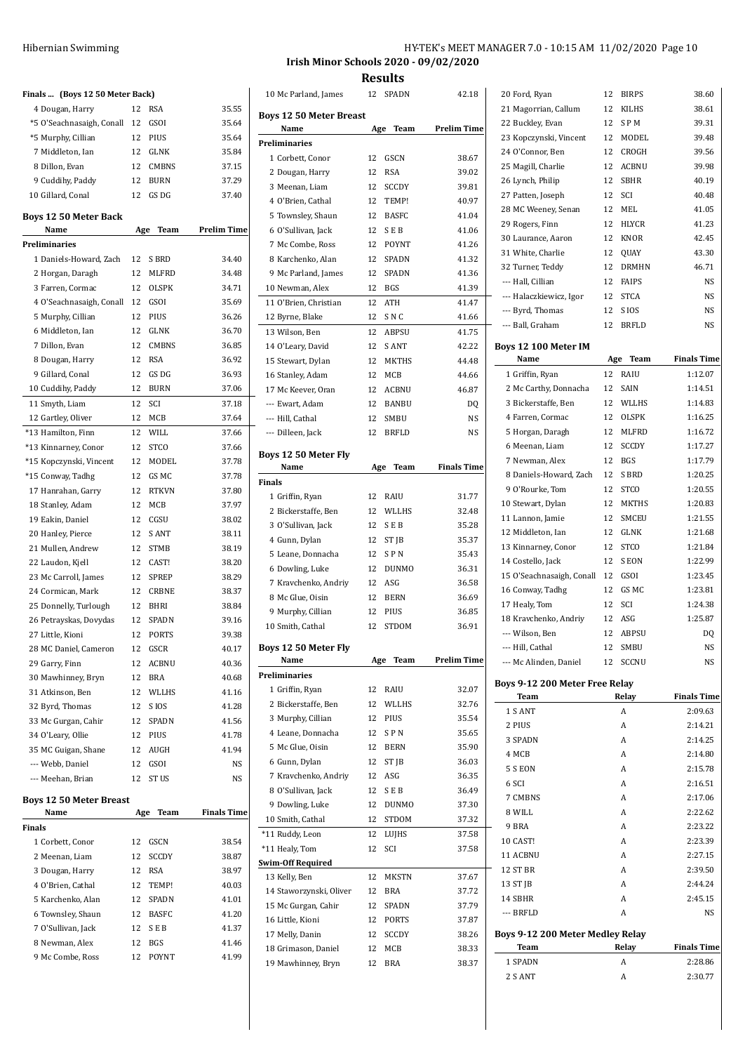| Finals  (Boys 12 50 Meter Back) |     |                  |                    |
|---------------------------------|-----|------------------|--------------------|
| 4 Dougan, Harry                 | 12  | <b>RSA</b>       | 35.55              |
| *5 O'Seachnasaigh, Conall       | 12  | GSOI             | 35.64              |
| *5 Murphy, Cillian              | 12  | PIUS             | 35.64              |
| 7 Middleton, Ian                | 12  | GLNK             | 35.84              |
| 8 Dillon, Evan                  | 12  | <b>CMBNS</b>     | 37.15              |
| 9 Cuddihy, Paddy                | 12  | <b>BURN</b>      | 37.29              |
| 10 Gillard, Conal               | 12  | GS DG            | 37.40              |
| <b>Boys 12 50 Meter Back</b>    |     |                  |                    |
| Name                            | Age | Team             | <b>Prelim Time</b> |
| <b>Preliminaries</b>            |     |                  |                    |
| 1 Daniels-Howard, Zach          | 12  | S BRD            | 34.40              |
| 2 Horgan, Daragh                | 12  | <b>MLFRD</b>     | 34.48              |
| 3 Farren, Cormac                | 12  | <b>OLSPK</b>     | 34.71              |
| 4 O'Seachnasaigh, Conall        | 12  | GSOI             | 35.69              |
| 5 Murphy, Cillian               | 12  | PIUS             | 36.26              |
| 6 Middleton, Ian                | 12  | <b>GLNK</b>      | 36.70              |
| 7 Dillon, Evan                  | 12  | <b>CMBNS</b>     | 36.85              |
| 8 Dougan, Harry                 | 12  | <b>RSA</b>       | 36.92              |
| 9 Gillard, Conal                | 12  | GS DG            | 36.93              |
| 10 Cuddihy, Paddy               | 12  | <b>BURN</b>      | 37.06              |
| 11 Smyth, Liam                  | 12  | <b>SCI</b>       | 37.18              |
| 12 Gartley, Oliver              | 12  | <b>MCB</b>       | 37.64              |
| *13 Hamilton, Finn              | 12  | WILL             | 37.66              |
| *13 Kinnarney, Conor            | 12  | <b>STCO</b>      | 37.66              |
| *15 Kopczynski, Vincent         | 12  | MODEL            | 37.78              |
| *15 Conway, Tadhg               | 12  | GS MC            | 37.78              |
| 17 Hanrahan, Garry              | 12  | <b>RTKVN</b>     | 37.80              |
| 18 Stanley, Adam                | 12  | MCB              | 37.97              |
| 19 Eakin, Daniel                | 12  | CGSU             | 38.02              |
| 20 Hanley, Pierce               | 12  | S ANT            | 38.11              |
| 21 Mullen, Andrew               | 12  | <b>STMB</b>      | 38.19              |
| 22 Laudon, Kjell                | 12  | CAST!            | 38.20              |
| 23 Mc Carroll, James            | 12  | <b>SPREP</b>     | 38.29              |
| 24 Cormican, Mark               | 12  | <b>CRBNE</b>     | 38.37              |
| 25 Donnelly, Turlough           | 12  | <b>BHRI</b>      | 38.84              |
| 26 Petrayskas, Dovydas          | 12  | SPADN            | 39.16              |
| 27 Little. Kioni                | 12  | <b>PORTS</b>     | 39.38              |
| 28 MC Daniel, Cameron           | 12  | GSCR             | 40.17              |
| 29 Garry, Finn                  | 12  | ACBNU            | 40.36              |
| 30 Mawhinney, Bryn              | 12  | <b>BRA</b>       | 40.68              |
| 31 Atkinson, Ben                | 12  | WLLHS            | 41.16              |
| 32 Byrd, Thomas                 | 12  | S IOS            | 41.28              |
| 33 Mc Gurgan, Cahir             | 12  | SPADN            | 41.56              |
| 34 O'Leary, Ollie               | 12  | PIUS             | 41.78              |
| 35 MC Guigan, Shane             | 12  | AUGH             | 41.94              |
| --- Webb, Daniel                | 12  | GSOI             | NS                 |
| --- Meehan, Brian               | 12  | ST <sub>US</sub> | NS                 |
| <b>Boys 12 50 Meter Breast</b>  |     |                  |                    |
| Name                            | Age | Team             | <b>Finals Time</b> |
| Finals                          |     |                  |                    |
| 1 Corbett, Conor                | 12  | GSCN             | 38.54              |
| 2 Meenan, Liam                  | 12  | SCCDY            | 38.87              |
| 3 Dougan, Harry                 | 12  | RSA              | 38.97              |
| 4 O'Brien, Cathal               | 12  | TEMP!            | 40.03              |
| 5 Karchenko, Alan               | 12  | SPADN            | 41.01              |
| 6 Townsley, Shaun               | 12  | <b>BASFC</b>     | 41.20              |
| 7 O'Sullivan, Jack              | 12  | <b>SEB</b>       | 41.37              |
| 8 Newman, Alex                  | 12  | <b>BGS</b>       | 41.46              |
| 9 Mc Combe, Ross                | 12  | POYNT            | 41.99              |

## HY-TEK's MEET MANAGER 7.0 - 10:15 AM 11/02/2020 Page 10 **Irish Minor Schools 2020 - 09/02/2020**

**Results**

| 10 Mc Parland, James                   | 12  | SPADN        | 42.18              |
|----------------------------------------|-----|--------------|--------------------|
| <b>Boys 12 50 Meter Breast</b><br>Name | Age | Team         | <b>Prelim Time</b> |
| <b>Preliminaries</b>                   |     |              |                    |
| 1 Corbett, Conor                       | 12  | GSCN         | 38.67              |
| 2 Dougan, Harry                        |     | <b>RSA</b>   | 39.02              |
|                                        | 12  |              |                    |
| 3 Meenan, Liam                         | 12  | <b>SCCDY</b> | 39.81              |
| 4 O'Brien, Cathal                      | 12  | TEMP!        | 40.97              |
| 5 Townsley, Shaun                      | 12  | <b>BASFC</b> | 41.04              |
| 6 O'Sullivan, Jack                     | 12  | <b>SEB</b>   | 41.06              |
| 7 Mc Combe, Ross                       | 12  | POYNT        | 41.26              |
| 8 Karchenko, Alan                      | 12  | SPADN        | 41.32              |
| 9 Mc Parland, James                    | 12  | <b>SPADN</b> | 41.36              |
| 10 Newman, Alex                        | 12  | <b>BGS</b>   | 41.39              |
| 11 O'Brien, Christian                  | 12  | ATH          | 41.47              |
| 12 Byrne, Blake                        | 12  | S N C        | 41.66              |
| 13 Wilson, Ben                         | 12  | <b>ABPSU</b> | 41.75              |
| 14 O'Leary, David                      | 12  | S ANT        | 42.22              |
| 15 Stewart, Dylan                      | 12  | <b>MKTHS</b> | 44.48              |
| 16 Stanley, Adam                       | 12  | MCB          | 44.66              |
| 17 Mc Keever, Oran                     | 12  | <b>ACBNU</b> | 46.87              |
| --- Ewart, Adam                        | 12  | <b>BANBU</b> | D <sub>O</sub>     |
| --- Hill, Cathal                       | 12  | SMBU         | NS                 |
| --- Dilleen, Jack                      | 12  | BRFLD        | NS                 |
|                                        |     |              |                    |
| Boys 12 50 Meter Fly                   |     |              |                    |
| Name                                   | Age | Team         | <b>Finals Time</b> |
| Finals                                 |     |              |                    |
| 1 Griffin, Ryan                        | 12  | RAIU         | 31.77              |
| 2 Bickerstaffe, Ben                    | 12  | WLLHS        | 32.48              |
| 3 O'Sullivan, Jack                     | 12  | <b>SEB</b>   | 35.28              |
| 4 Gunn, Dylan                          | 12  | ST JB        | 35.37              |
| 5 Leane, Donnacha                      | 12  | SPN          | 35.43              |
| 6 Dowling, Luke                        | 12  | <b>DUNMO</b> | 36.31              |
| 7 Kravchenko, Andriy                   | 12  | ASG          | 36.58              |
| 8 Mc Glue, Oisin                       | 12  | <b>BERN</b>  | 36.69              |
| 9 Murphy, Cillian                      | 12  | PIUS         | 36.85              |
| 10 Smith, Cathal                       | 12  | STDOM        | 36.91              |
|                                        |     |              |                    |
| Boys 12 50 Meter Fly                   |     |              |                    |
| Name                                   | Age | Team         | <b>Prelim Time</b> |
| <b>Preliminaries</b>                   |     |              |                    |
| 1 Griffin, Ryan                        | 12  | RAIU         | 32.07              |
| 2 Bickerstaffe, Ben                    | 12  | WLLHS        | 32.76              |
| 3 Murphy, Cillian                      | 12  | PIUS         | 35.54              |
| 4 Leane, Donnacha                      | 12  | SPN          | 35.65              |
| 5 Mc Glue, Oisin                       | 12  | <b>BERN</b>  | 35.90              |
| 6 Gunn, Dylan                          | 12  | ST JB        | 36.03              |
| 7 Kravchenko, Andriy                   | 12  | ASG          | 36.35              |
| 8 O'Sullivan, Jack                     | 12  | S E B        | 36.49              |
| 9 Dowling, Luke                        | 12  | DUNMO        | 37.30              |
| 10 Smith, Cathal                       | 12  | STDOM        | 37.32              |
| *11 Ruddy, Leon                        | 12  | LUJHS        | 37.58              |
| *11 Healy, Tom                         | 12  | SCI          | 37.58              |
| <b>Swim-Off Required</b>               |     |              |                    |
| 13 Kelly, Ben                          | 12  | MKSTN        | 37.67              |
| 14 Staworzynski, Oliver                | 12  | BRA          | 37.72              |
| 15 Mc Gurgan, Cahir                    | 12  | SPADN        | 37.79              |
| 16 Little, Kioni                       | 12  | <b>PORTS</b> | 37.87              |
| 17 Melly, Danin                        | 12  | SCCDY        | 38.26              |
| 18 Grimason, Daniel                    | 12  | MCB          | 38.33              |
| 19 Mawhinney, Bryn                     | 12  | BRA          | 38.37              |
|                                        |     |              |                    |

| 20 Ford, Ryan                           | 12  | <b>BIRPS</b>     | 38.60              |
|-----------------------------------------|-----|------------------|--------------------|
| 21 Magorrian, Callum                    | 12  | <b>KILHS</b>     | 38.61              |
| 22 Buckley, Evan                        | 12  | SPM              | 39.31              |
| 23 Kopczynski, Vincent                  | 12  | MODEL            | 39.48              |
| 24 O'Connor, Ben                        | 12  | <b>CROGH</b>     | 39.56              |
| 25 Magill, Charlie                      | 12  | ACBNU            | 39.98              |
| 26 Lynch, Philip                        | 12  | SBHR             | 40.19              |
| 27 Patten, Joseph                       | 12  | SCI              | 40.48              |
| 28 MC Weeney, Senan                     | 12  | MEL              | 41.05              |
| 29 Rogers, Finn                         | 12  | HLYCR            | 41.23              |
| 30 Laurance, Aaron                      | 12  | <b>KNOR</b>      | 42.45              |
| 31 White, Charlie                       | 12  | <b>OUAY</b>      | 43.30              |
| 32 Turner, Teddy                        | 12  | <b>DRMHN</b>     | 46.71              |
| --- Hall, Cillian                       | 12  | <b>FAIPS</b>     | NS                 |
| --- Halaczkiewicz, Igor                 | 12  | <b>STCA</b>      | NS                 |
| --- Byrd, Thomas                        | 12  | S IOS            | NS                 |
| --- Ball, Graham                        | 12  | BRFLD            | NS                 |
| Boys 12 100 Meter IM                    |     |                  |                    |
| Name                                    | Age | Team             | <b>Finals Time</b> |
| 1 Griffin, Ryan                         | 12  | RAIU             | 1:12.07            |
| 2 Mc Carthy, Donnacha                   | 12  | SAIN             | 1:14.51            |
| 3 Bickerstaffe, Ben                     | 12  | WLLHS            | 1:14.83            |
| 4 Farren, Cormac                        | 12  | OLSPK            | 1:16.25            |
| 5 Horgan, Daragh                        | 12  | MLFRD            | 1:16.72            |
| 6 Meenan, Liam                          | 12  | SCCDY            | 1:17.27            |
| 7 Newman, Alex                          | 12  | <b>BGS</b>       | 1:17.79            |
| 8 Daniels-Howard, Zach                  | 12  | S BRD            | 1:20.25            |
| 9 O'Rourke, Tom                         | 12  | <b>STCO</b>      | 1:20.55            |
| 10 Stewart, Dylan                       | 12  | <b>MKTHS</b>     | 1:20.83            |
| 11 Lannon, Jamie                        | 12  | SMCEU            | 1:21.55            |
| 12 Middleton, Ian                       | 12  | GLNK             | 1:21.68            |
| 13 Kinnarney, Conor                     | 12  | <b>STCO</b>      | 1:21.84            |
| 14 Costello, Jack                       | 12  | S EON            | 1:22.99            |
| 15 O'Seachnasaigh, Conall               | 12  | GSOI             | 1:23.45            |
| 16 Conway, Tadhg                        | 12  | GS MC            | 1:23.81            |
| 17 Healy, Tom                           | 12  | SCI              | 1:24.38            |
| 18 Kravchenko, Andriy                   | 12  | ASG              | 1:25.87            |
| --- Wilson, Ben                         | 12  | <b>ABPSU</b>     | DQ                 |
| --- Hill, Cathal                        | 12  | 12 SMBU<br>SCCNU | NS<br>NS           |
| --- Mc Alinden, Daniel                  |     |                  |                    |
| Boys 9-12 200 Meter Free Relay<br>Team  |     | Relay            | <b>Finals Time</b> |
| 1 S ANT                                 |     | Α                | 2:09.63            |
| 2 PIUS                                  |     | Α                | 2:14.21            |
| 3 SPADN                                 |     | A                | 2:14.25            |
| 4 MCB                                   |     | A                | 2:14.80            |
| 5 S EON                                 |     | A                | 2:15.78            |
| 6 SCI                                   |     | A                | 2:16.51            |
| 7 CMBNS                                 |     | Α                | 2:17.06            |
| 8 WILL                                  |     | Α                | 2:22.62            |
| 9 BRA                                   |     | A                | 2:23.22            |
| 10 CAST!                                |     | A                | 2:23.39            |
| 11 ACBNU                                |     | A                | 2:27.15            |
| 12 ST BR                                |     | A                | 2:39.50            |
| 13 ST JB                                |     | A                | 2:44.24            |
| 14 SBHR                                 |     | A                | 2:45.15            |
| --- BRFLD                               |     | A                | NS                 |
| <b>Boys 9-12 200 Meter Medley Relay</b> |     |                  |                    |
| Team                                    |     | Relay            | <b>Finals Time</b> |
| 1 SPADN                                 |     | A                | 2:28.86            |
| 2 S ANT                                 |     | A                | 2:30.77            |
|                                         |     |                  |                    |